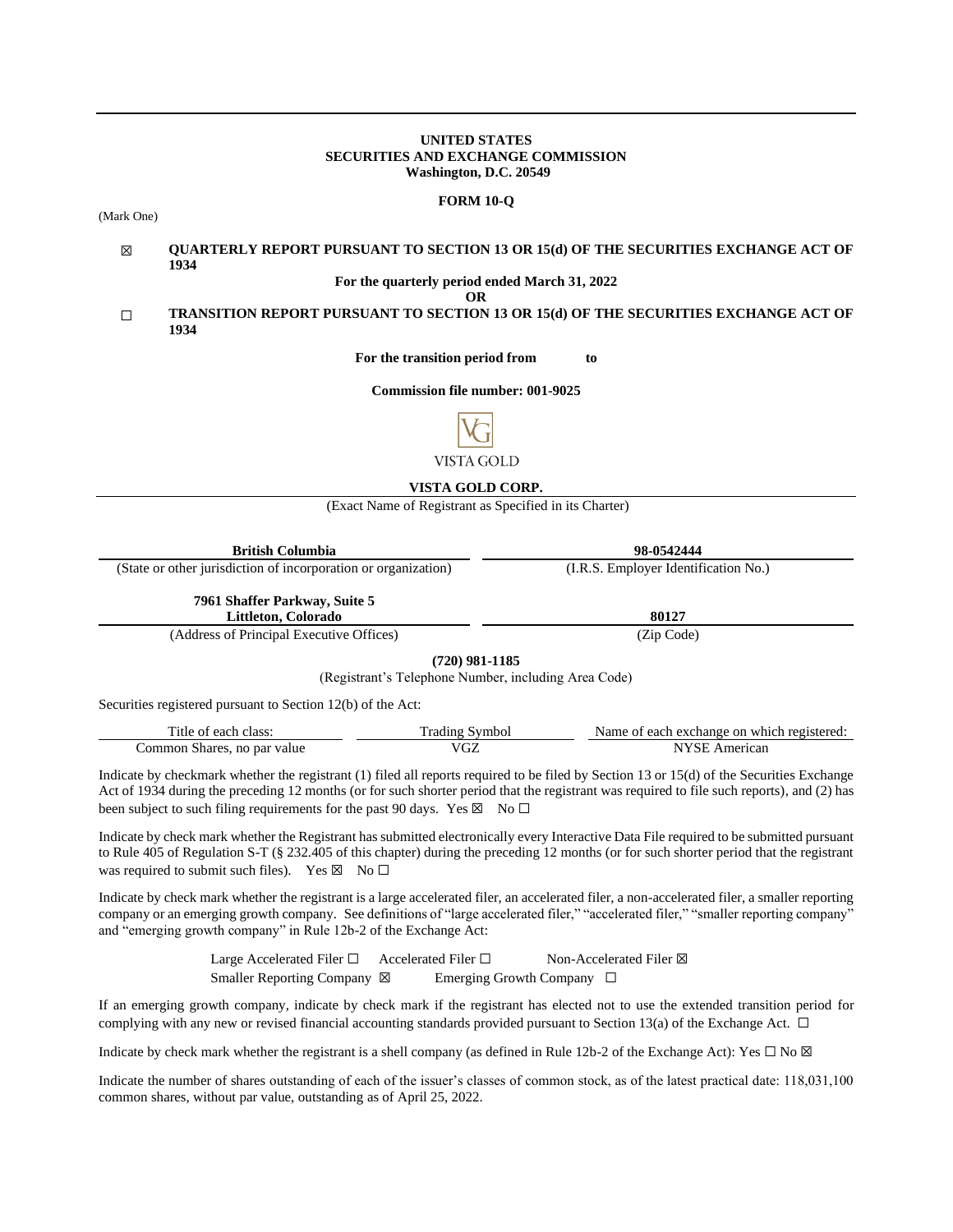### **UNITED STATES SECURITIES AND EXCHANGE COMMISSION Washington, D.C. 20549**

#### **FORM 10-Q**

(Mark One)

#### ☒ **QUARTERLY REPORT PURSUANT TO SECTION 13 OR 15(d) OF THE SECURITIES EXCHANGE ACT OF 1934**

**For the quarterly period ended March 31, 2022**

**OR**

## ☐ **TRANSITION REPORT PURSUANT TO SECTION 13 OR 15(d) OF THE SECURITIES EXCHANGE ACT OF 1934**

**For the transition period from to**

**Commission file number: 001-9025**



# **VISTA GOLD CORP.**

(Exact Name of Registrant as Specified in its Charter)

| <b>British Columbia</b>                                        | 98-0542444                           |
|----------------------------------------------------------------|--------------------------------------|
| (State or other jurisdiction of incorporation or organization) | (I.R.S. Employer Identification No.) |
| 7961 Shaffer Parkway, Suite 5                                  |                                      |
| Littleton, Colorado                                            | 80127                                |
| (Address of Principal Executive Offices)                       | (Zip Code)                           |

**(720) 981-1185**

(Registrant's Telephone Number, including Area Code)

Securities registered pursuant to Section 12(b) of the Act:

| m <sub>1</sub><br>Title of each class: | frading Symbol | Name of each exchange on which registered: |
|----------------------------------------|----------------|--------------------------------------------|
| Common Shares, no par value            | VGZ            | erican?                                    |

Indicate by checkmark whether the registrant (1) filed all reports required to be filed by Section 13 or 15(d) of the Securities Exchange Act of 1934 during the preceding 12 months (or for such shorter period that the registrant was required to file such reports), and (2) has been subject to such filing requirements for the past 90 days. Yes  $\boxtimes$  No  $\Box$ 

Indicate by check mark whether the Registrant has submitted electronically every Interactive Data File required to be submitted pursuant to Rule 405 of Regulation S-T (§ 232.405 of this chapter) during the preceding 12 months (or for such shorter period that the registrant was required to submit such files). Yes  $\boxtimes$  No  $\Box$ 

Indicate by check mark whether the registrant is a large accelerated filer, an accelerated filer, a non-accelerated filer, a smaller reporting company or an emerging growth company. See definitions of "large accelerated filer," "accelerated filer," "smaller reporting company" and "emerging growth company" in Rule 12b-2 of the Exchange Act:

> Large Accelerated Filer □ Accelerated Filer □ Non-Accelerated Filer ⊠ Smaller Reporting Company ⊠ Emerging Growth Company □

If an emerging growth company, indicate by check mark if the registrant has elected not to use the extended transition period for complying with any new or revised financial accounting standards provided pursuant to Section 13(a) of the Exchange Act.  $\Box$ 

Indicate by check mark whether the registrant is a shell company (as defined in Rule 12b-2 of the Exchange Act): Yes  $\Box$  No  $\boxtimes$ 

Indicate the number of shares outstanding of each of the issuer's classes of common stock, as of the latest practical date: 118,031,100 common shares, without par value, outstanding as of April 25, 2022.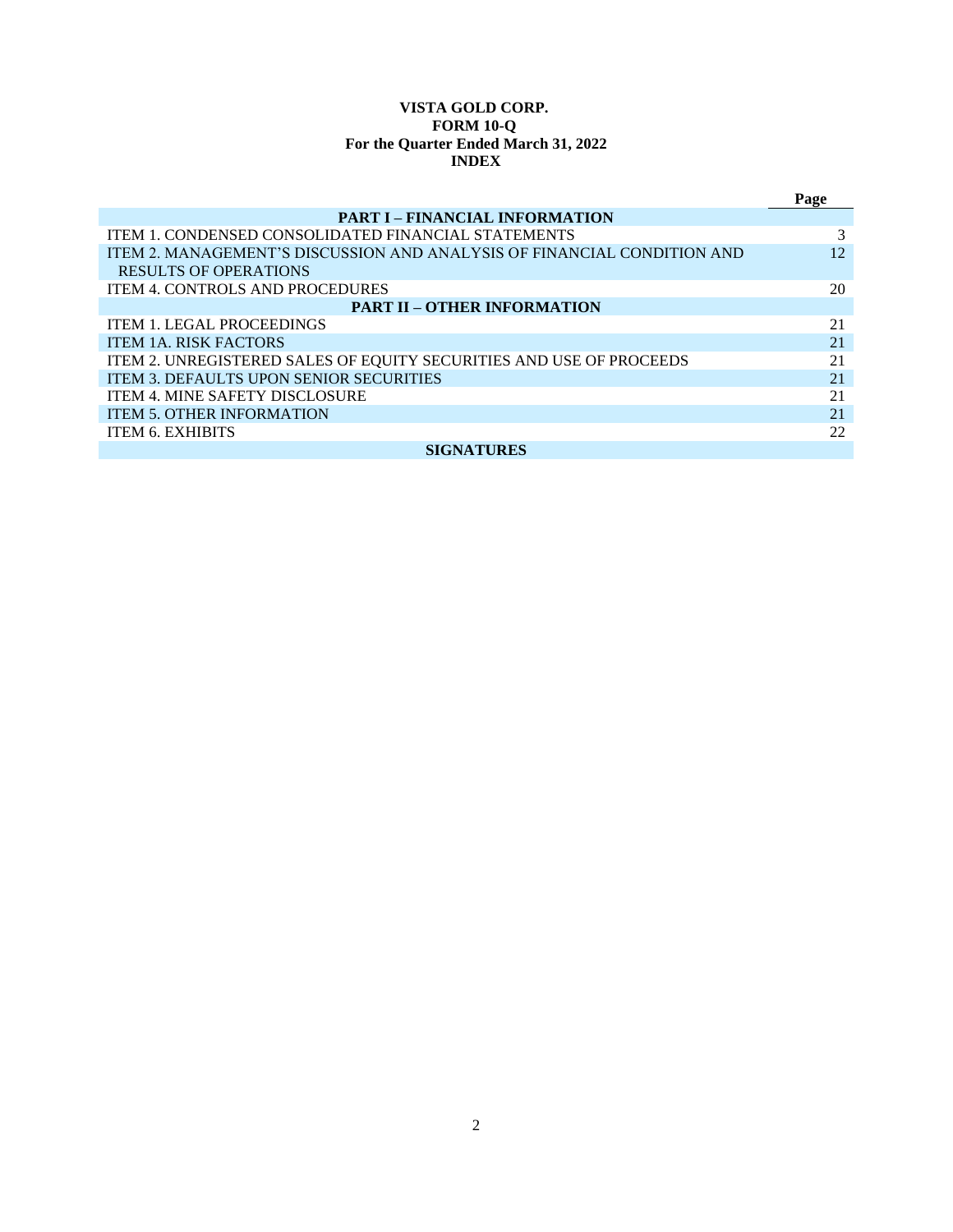# **VISTA GOLD CORP. FORM 10-Q For the Quarter Ended March 31, 2022 INDEX**

|                                                                         | Page |  |  |  |
|-------------------------------------------------------------------------|------|--|--|--|
| <b>PART I – FINANCIAL INFORMATION</b>                                   |      |  |  |  |
| <b>ITEM 1. CONDENSED CONSOLIDATED FINANCIAL STATEMENTS</b>              | 3    |  |  |  |
| ITEM 2. MANAGEMENT'S DISCUSSION AND ANALYSIS OF FINANCIAL CONDITION AND | 12   |  |  |  |
| <b>RESULTS OF OPERATIONS</b>                                            |      |  |  |  |
| <b>ITEM 4. CONTROLS AND PROCEDURES</b>                                  | 20   |  |  |  |
| <b>PART II - OTHER INFORMATION</b>                                      |      |  |  |  |
| <b>ITEM 1. LEGAL PROCEEDINGS</b>                                        | 21   |  |  |  |
| <b>ITEM 1A. RISK FACTORS</b>                                            | 21   |  |  |  |
| ITEM 2. UNREGISTERED SALES OF EQUITY SECURITIES AND USE OF PROCEEDS     | 21   |  |  |  |
| <b>ITEM 3. DEFAULTS UPON SENIOR SECURITIES</b>                          | 21   |  |  |  |
| <b>ITEM 4. MINE SAFETY DISCLOSURE</b>                                   | 21   |  |  |  |
| <b>ITEM 5. OTHER INFORMATION</b>                                        | 21   |  |  |  |
| <b>ITEM 6. EXHIBITS</b>                                                 | 22   |  |  |  |
| <b>SIGNATURES</b>                                                       |      |  |  |  |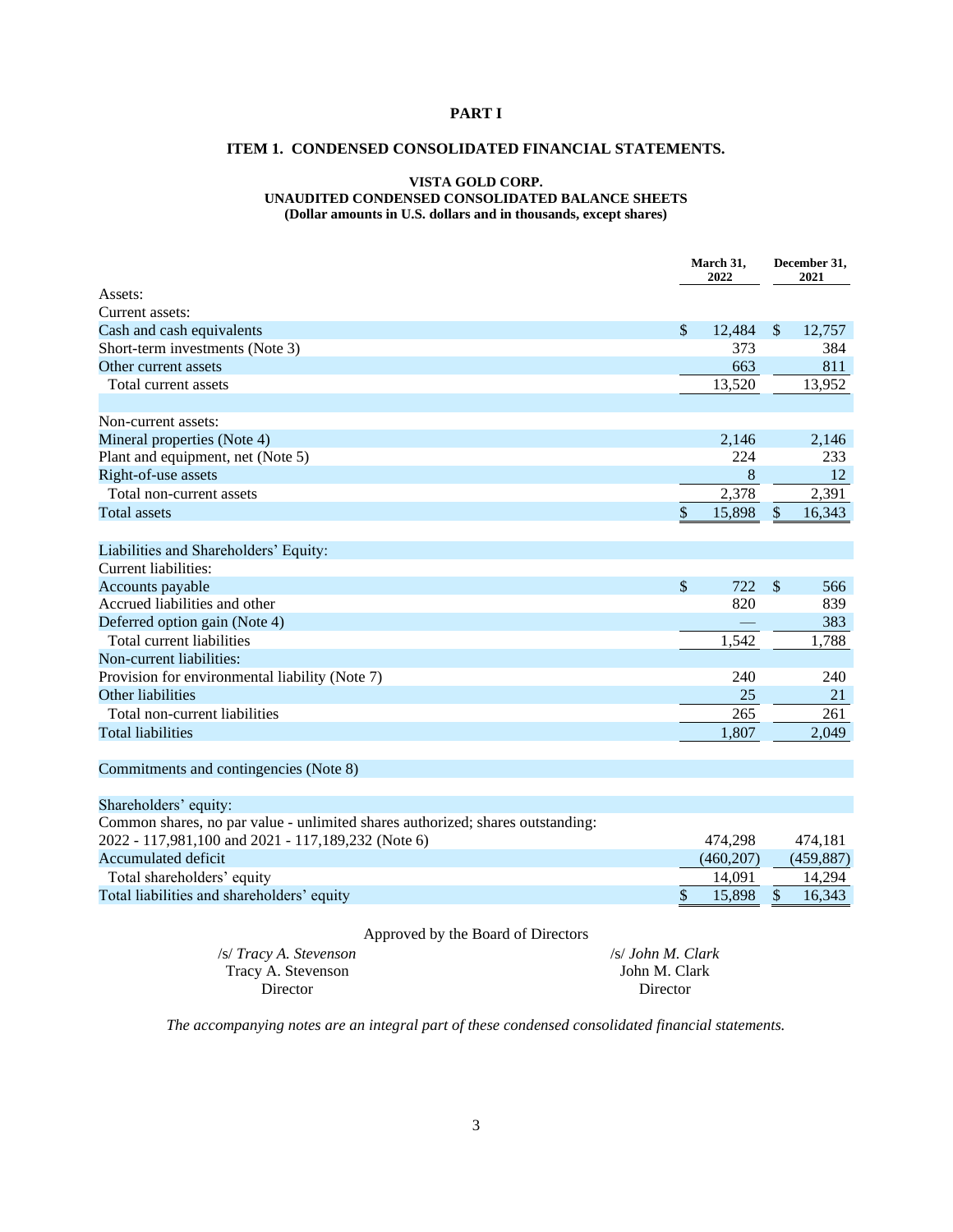# <span id="page-2-1"></span><span id="page-2-0"></span>**PART I**

# **ITEM 1. CONDENSED CONSOLIDATED FINANCIAL STATEMENTS.**

### **VISTA GOLD CORP. UNAUDITED CONDENSED CONSOLIDATED BALANCE SHEETS (Dollar amounts in U.S. dollars and in thousands, except shares)**

|                                                                                |               | March 31,<br>2022 | December 31,<br>2021 |            |
|--------------------------------------------------------------------------------|---------------|-------------------|----------------------|------------|
| Assets:                                                                        |               |                   |                      |            |
| Current assets:                                                                |               |                   |                      |            |
| Cash and cash equivalents                                                      | $\mathcal{S}$ | 12,484            | $\mathcal{S}$        | 12,757     |
| Short-term investments (Note 3)                                                |               | 373               |                      | 384        |
| Other current assets                                                           |               | 663               |                      | 811        |
| Total current assets                                                           |               | 13,520            |                      | 13,952     |
|                                                                                |               |                   |                      |            |
| Non-current assets:                                                            |               |                   |                      |            |
| Mineral properties (Note 4)                                                    |               | 2.146             |                      | 2,146      |
| Plant and equipment, net (Note 5)                                              |               | 224               |                      | 233        |
| Right-of-use assets                                                            |               | 8                 |                      | 12         |
| Total non-current assets                                                       |               | 2,378             |                      | 2,391      |
| <b>Total assets</b>                                                            | \$            | 15,898            | \$                   | 16,343     |
|                                                                                |               |                   |                      |            |
| Liabilities and Shareholders' Equity:                                          |               |                   |                      |            |
| Current liabilities:                                                           |               |                   |                      |            |
| Accounts payable                                                               | \$            | 722               | \$                   | 566        |
| Accrued liabilities and other                                                  |               | 820               |                      | 839        |
| Deferred option gain (Note 4)                                                  |               |                   |                      | 383        |
| Total current liabilities                                                      |               | 1,542             |                      | 1,788      |
| Non-current liabilities:                                                       |               |                   |                      |            |
| Provision for environmental liability (Note 7)                                 |               | 240               |                      | 240        |
| Other liabilities                                                              |               | 25                |                      | 21         |
| Total non-current liabilities                                                  |               | 265               |                      | 261        |
| <b>Total liabilities</b>                                                       |               | 1,807             |                      | 2,049      |
| Commitments and contingencies (Note 8)                                         |               |                   |                      |            |
| Shareholders' equity:                                                          |               |                   |                      |            |
| Common shares, no par value - unlimited shares authorized; shares outstanding: |               |                   |                      |            |
| 2022 - 117,981,100 and 2021 - 117,189,232 (Note 6)                             |               | 474,298           |                      | 474,181    |
| <b>Accumulated deficit</b>                                                     |               | (460, 207)        |                      | (459, 887) |
| Total shareholders' equity                                                     |               | 14,091            |                      | 14,294     |
| Total liabilities and shareholders' equity                                     | \$            | 15,898            | \$                   | 16,343     |
|                                                                                |               |                   |                      |            |

# Approved by the Board of Directors

| /s/ Tracy A. Stevenson | /s/ John M. Clark |
|------------------------|-------------------|
| Tracy A. Stevenson     | John M. Clark     |
| Director               | Director          |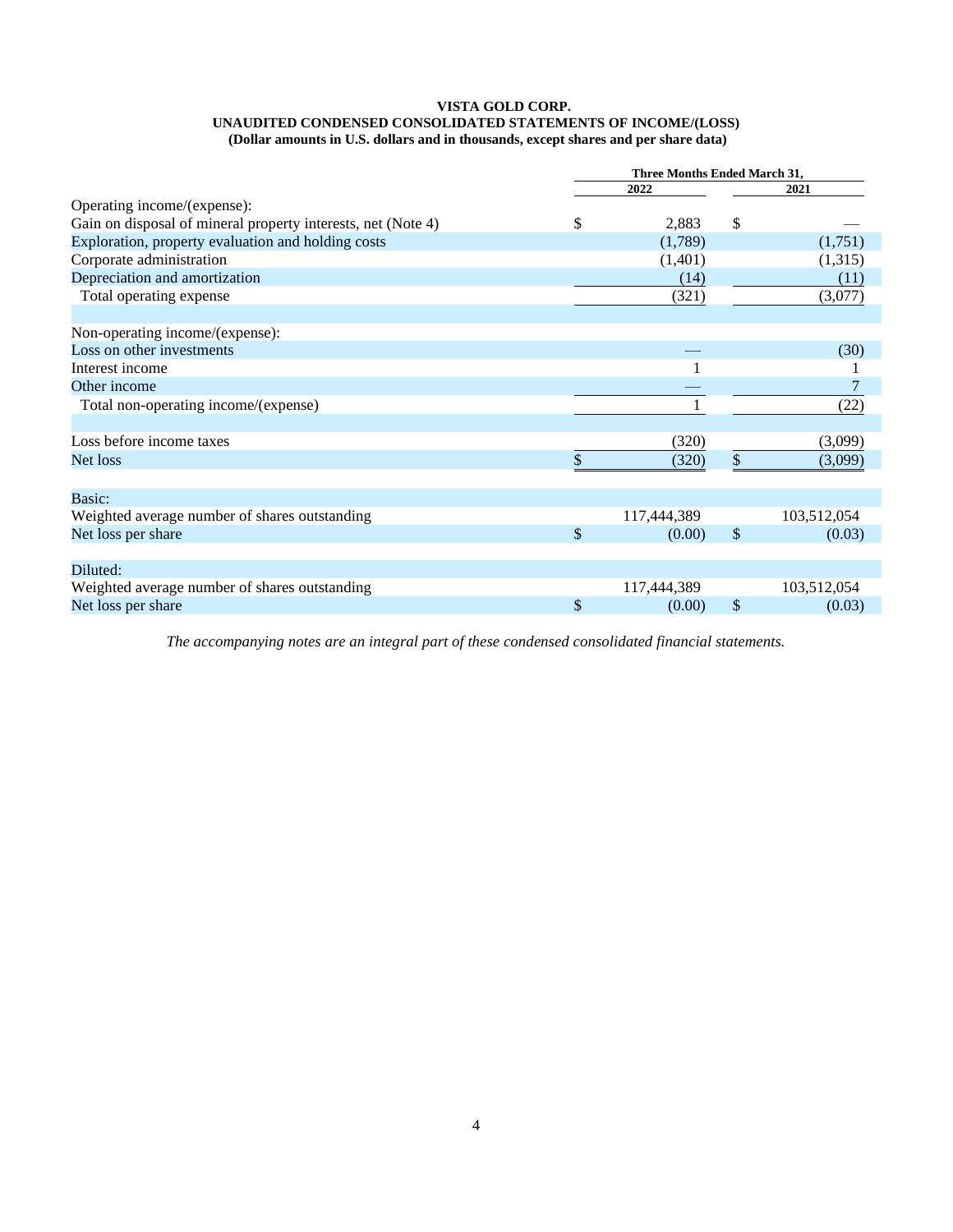#### **VISTA GOLD CORP. UNAUDITED CONDENSED CONSOLIDATED STATEMENTS OF INCOME/(LOSS) (Dollar amounts in U.S. dollars and in thousands, except shares and per share data)**

|                                                              | Three Months Ended March 31, |             |               |             |  |
|--------------------------------------------------------------|------------------------------|-------------|---------------|-------------|--|
|                                                              |                              | 2022        |               | 2021        |  |
| Operating income/(expense):                                  |                              |             |               |             |  |
| Gain on disposal of mineral property interests, net (Note 4) | \$                           | 2,883       | \$            |             |  |
| Exploration, property evaluation and holding costs           |                              | (1,789)     |               | (1,751)     |  |
| Corporate administration                                     |                              | (1,401)     |               | (1,315)     |  |
| Depreciation and amortization                                |                              | (14)        |               | (11)        |  |
| Total operating expense                                      |                              | (321)       |               | (3,077)     |  |
| Non-operating income/(expense):                              |                              |             |               |             |  |
| Loss on other investments                                    |                              |             |               | (30)        |  |
| Interest income                                              |                              |             |               |             |  |
| Other income                                                 |                              |             |               |             |  |
| Total non-operating income/(expense)                         |                              |             |               | (22)        |  |
|                                                              |                              |             |               |             |  |
| Loss before income taxes                                     |                              | (320)       |               | (3,099)     |  |
| Net loss                                                     |                              | (320)       | \$            | (3,099)     |  |
|                                                              |                              |             |               |             |  |
| Basic:                                                       |                              |             |               |             |  |
| Weighted average number of shares outstanding                |                              | 117,444,389 |               | 103,512,054 |  |
| Net loss per share                                           | \$                           | (0.00)      | $\mathcal{S}$ | (0.03)      |  |
| Diluted:                                                     |                              |             |               |             |  |
| Weighted average number of shares outstanding                |                              | 117,444,389 |               | 103,512,054 |  |
| Net loss per share                                           | \$                           | (0.00)      | \$            | (0.03)      |  |
|                                                              |                              |             |               |             |  |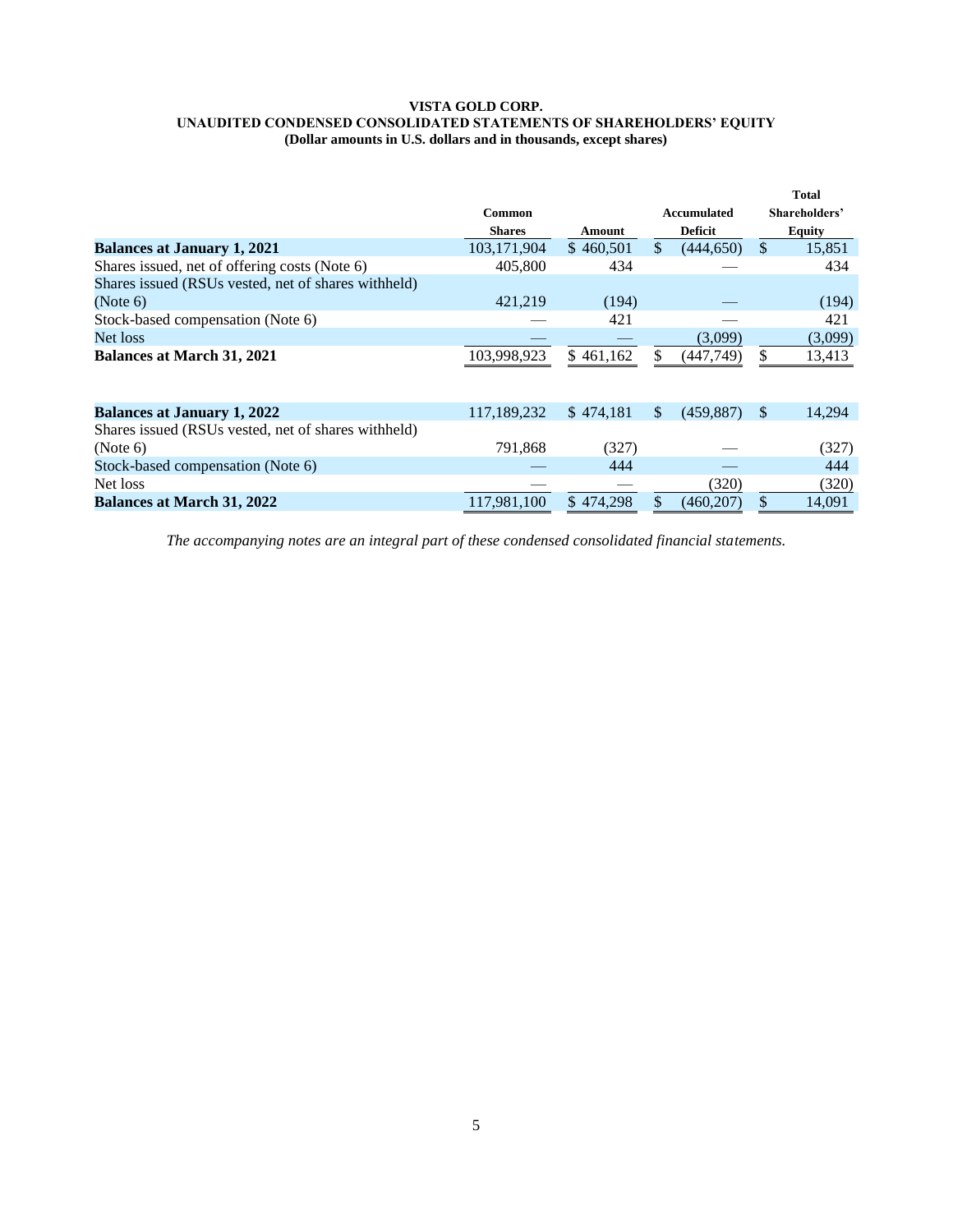#### **VISTA GOLD CORP. UNAUDITED CONDENSED CONSOLIDATED STATEMENTS OF SHAREHOLDERS' EQUITY (Dollar amounts in U.S. dollars and in thousands, except shares)**

|                                                     |               |           |               |                |               | <b>Total</b>  |
|-----------------------------------------------------|---------------|-----------|---------------|----------------|---------------|---------------|
|                                                     | <b>Common</b> |           |               | Accumulated    |               | Shareholders' |
|                                                     | <b>Shares</b> | Amount    |               | <b>Deficit</b> |               | <b>Equity</b> |
| <b>Balances at January 1, 2021</b>                  | 103,171,904   | \$460,501 | $\mathcal{S}$ | (444, 650)     | $\mathcal{S}$ | 15,851        |
| Shares issued, net of offering costs (Note 6)       | 405,800       | 434       |               |                |               | 434           |
| Shares issued (RSUs vested, net of shares withheld) |               |           |               |                |               |               |
| (Note 6)                                            | 421,219       | (194)     |               |                |               | (194)         |
| Stock-based compensation (Note 6)                   |               | 421       |               |                |               | 421           |
| Net loss                                            |               |           |               | (3,099)        |               | (3,099)       |
| <b>Balances at March 31, 2021</b>                   | 103,998,923   | \$461,162 |               | (447,749)      | \$            | 13,413        |
|                                                     |               |           |               |                |               |               |
| <b>Balances at January 1, 2022</b>                  | 117,189,232   | \$474.181 | \$.           | (459.887)      | <sup>\$</sup> | 14,294        |
| Shares issued (RSUs vested, net of shares withheld) |               |           |               |                |               |               |
| (Note 6)                                            | 791,868       | (327)     |               |                |               | (327)         |
| Stock-based compensation (Note 6)                   |               | 444       |               |                |               | 444           |
| Net loss                                            |               |           |               | (320)          |               | (320)         |
| <b>Balances at March 31, 2022</b>                   | 117,981,100   | \$474,298 |               | (460, 207)     | \$            | 14,091        |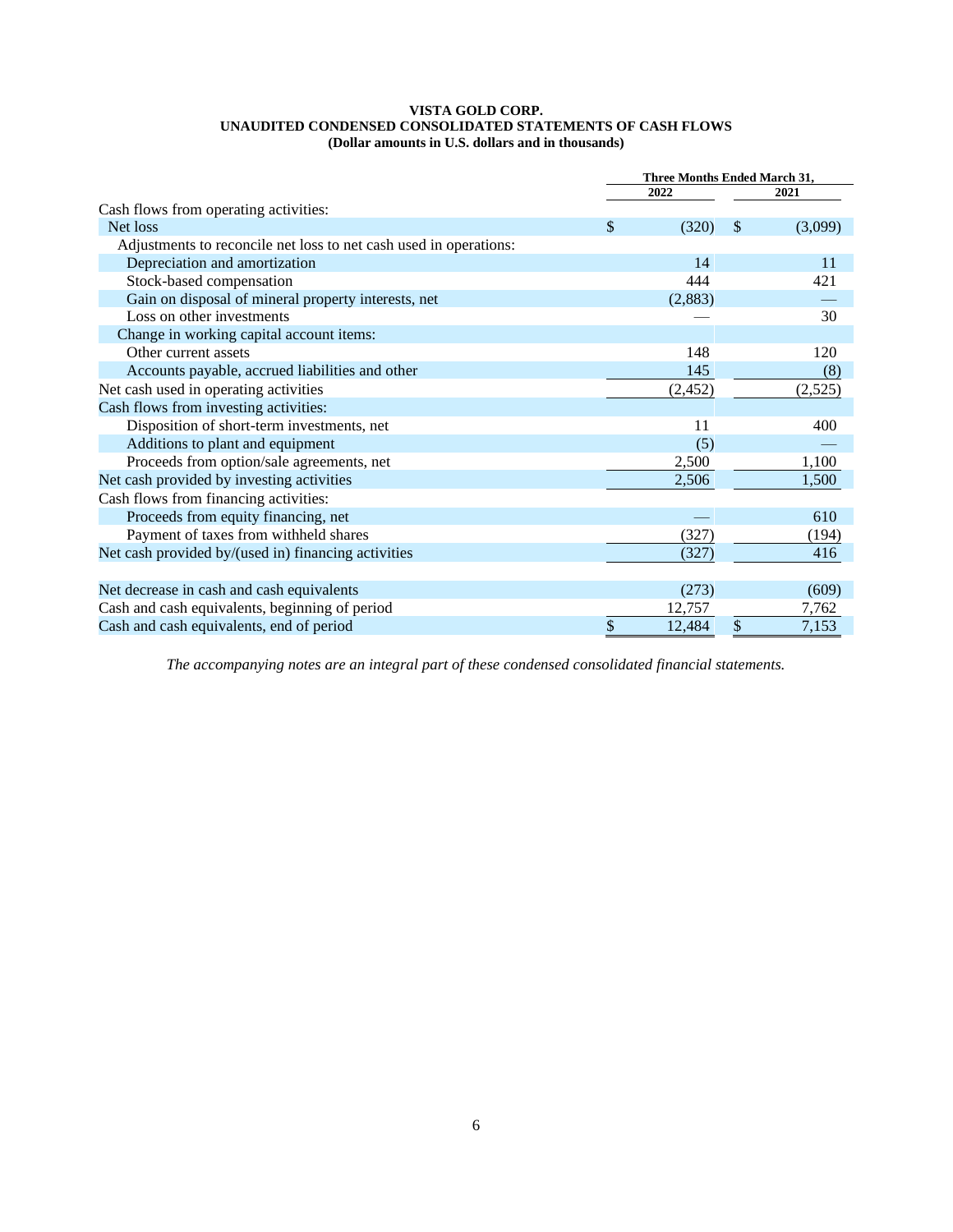### **VISTA GOLD CORP. UNAUDITED CONDENSED CONSOLIDATED STATEMENTS OF CASH FLOWS (Dollar amounts in U.S. dollars and in thousands)**

|                                                                   | Three Months Ended March 31, |          |    |         |  |
|-------------------------------------------------------------------|------------------------------|----------|----|---------|--|
|                                                                   |                              | 2022     |    | 2021    |  |
| Cash flows from operating activities:                             |                              |          |    |         |  |
| Net loss                                                          | \$                           | (320)    | \$ | (3,099) |  |
| Adjustments to reconcile net loss to net cash used in operations: |                              |          |    |         |  |
| Depreciation and amortization                                     |                              | 14       |    | 11      |  |
| Stock-based compensation                                          |                              | 444      |    | 421     |  |
| Gain on disposal of mineral property interests, net               |                              | (2,883)  |    |         |  |
| Loss on other investments                                         |                              |          |    | 30      |  |
| Change in working capital account items:                          |                              |          |    |         |  |
| Other current assets                                              |                              | 148      |    | 120     |  |
| Accounts payable, accrued liabilities and other                   |                              | 145      |    | (8)     |  |
| Net cash used in operating activities                             |                              | (2, 452) |    | (2,525) |  |
| Cash flows from investing activities:                             |                              |          |    |         |  |
| Disposition of short-term investments, net                        |                              | 11       |    | 400     |  |
| Additions to plant and equipment                                  |                              | (5)      |    |         |  |
| Proceeds from option/sale agreements, net                         |                              | 2,500    |    | 1,100   |  |
| Net cash provided by investing activities                         |                              | 2,506    |    | 1,500   |  |
| Cash flows from financing activities:                             |                              |          |    |         |  |
| Proceeds from equity financing, net                               |                              |          |    | 610     |  |
| Payment of taxes from withheld shares                             |                              | (327)    |    | (194)   |  |
| Net cash provided by/(used in) financing activities               |                              | (327)    |    | 416     |  |
|                                                                   |                              |          |    |         |  |
| Net decrease in cash and cash equivalents                         |                              | (273)    |    | (609)   |  |
| Cash and cash equivalents, beginning of period                    |                              | 12,757   |    | 7,762   |  |
| Cash and cash equivalents, end of period                          | \$                           | 12,484   | \$ | 7,153   |  |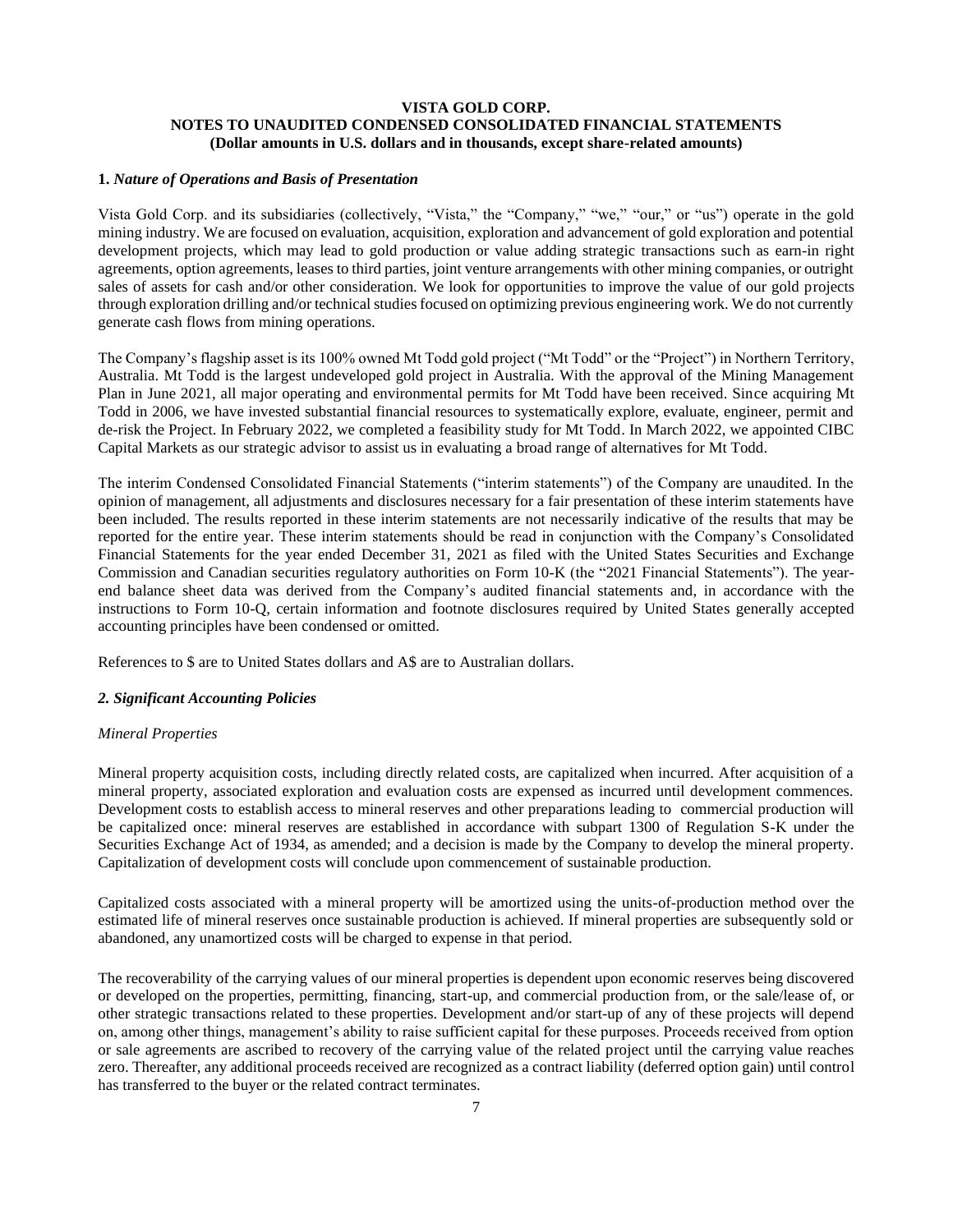## **VISTA GOLD CORP. NOTES TO UNAUDITED CONDENSED CONSOLIDATED FINANCIAL STATEMENTS (Dollar amounts in U.S. dollars and in thousands, except share-related amounts)**

## **1.** *Nature of Operations and Basis of Presentation*

Vista Gold Corp. and its subsidiaries (collectively, "Vista," the "Company," "we," "our," or "us") operate in the gold mining industry. We are focused on evaluation, acquisition, exploration and advancement of gold exploration and potential development projects, which may lead to gold production or value adding strategic transactions such as earn-in right agreements, option agreements, leases to third parties, joint venture arrangements with other mining companies, or outright sales of assets for cash and/or other consideration. We look for opportunities to improve the value of our gold projects through exploration drilling and/or technical studies focused on optimizing previous engineering work. We do not currently generate cash flows from mining operations.

The Company's flagship asset is its 100% owned Mt Todd gold project ("Mt Todd" or the "Project") in Northern Territory, Australia. Mt Todd is the largest undeveloped gold project in Australia. With the approval of the Mining Management Plan in June 2021, all major operating and environmental permits for Mt Todd have been received. Since acquiring Mt Todd in 2006, we have invested substantial financial resources to systematically explore, evaluate, engineer, permit and de-risk the Project. In February 2022, we completed a feasibility study for Mt Todd. In March 2022, we appointed CIBC Capital Markets as our strategic advisor to assist us in evaluating a broad range of alternatives for Mt Todd.

The interim Condensed Consolidated Financial Statements ("interim statements") of the Company are unaudited. In the opinion of management, all adjustments and disclosures necessary for a fair presentation of these interim statements have been included. The results reported in these interim statements are not necessarily indicative of the results that may be reported for the entire year. These interim statements should be read in conjunction with the Company's Consolidated Financial Statements for the year ended December 31, 2021 as filed with the United States Securities and Exchange Commission and Canadian securities regulatory authorities on Form 10-K (the "2021 Financial Statements"). The yearend balance sheet data was derived from the Company's audited financial statements and, in accordance with the instructions to Form 10-Q, certain information and footnote disclosures required by United States generally accepted accounting principles have been condensed or omitted.

References to \$ are to United States dollars and A\$ are to Australian dollars.

## *2. Significant Accounting Policies*

### *Mineral Properties*

Mineral property acquisition costs, including directly related costs, are capitalized when incurred. After acquisition of a mineral property, associated exploration and evaluation costs are expensed as incurred until development commences. Development costs to establish access to mineral reserves and other preparations leading to commercial production will be capitalized once: mineral reserves are established in accordance with subpart 1300 of Regulation S-K under the Securities Exchange Act of 1934, as amended; and a decision is made by the Company to develop the mineral property. Capitalization of development costs will conclude upon commencement of sustainable production.

Capitalized costs associated with a mineral property will be amortized using the units-of-production method over the estimated life of mineral reserves once sustainable production is achieved. If mineral properties are subsequently sold or abandoned, any unamortized costs will be charged to expense in that period.

The recoverability of the carrying values of our mineral properties is dependent upon economic reserves being discovered or developed on the properties, permitting, financing, start-up, and commercial production from, or the sale/lease of, or other strategic transactions related to these properties. Development and/or start-up of any of these projects will depend on, among other things, management's ability to raise sufficient capital for these purposes. Proceeds received from option or sale agreements are ascribed to recovery of the carrying value of the related project until the carrying value reaches zero. Thereafter, any additional proceeds received are recognized as a contract liability (deferred option gain) until control has transferred to the buyer or the related contract terminates.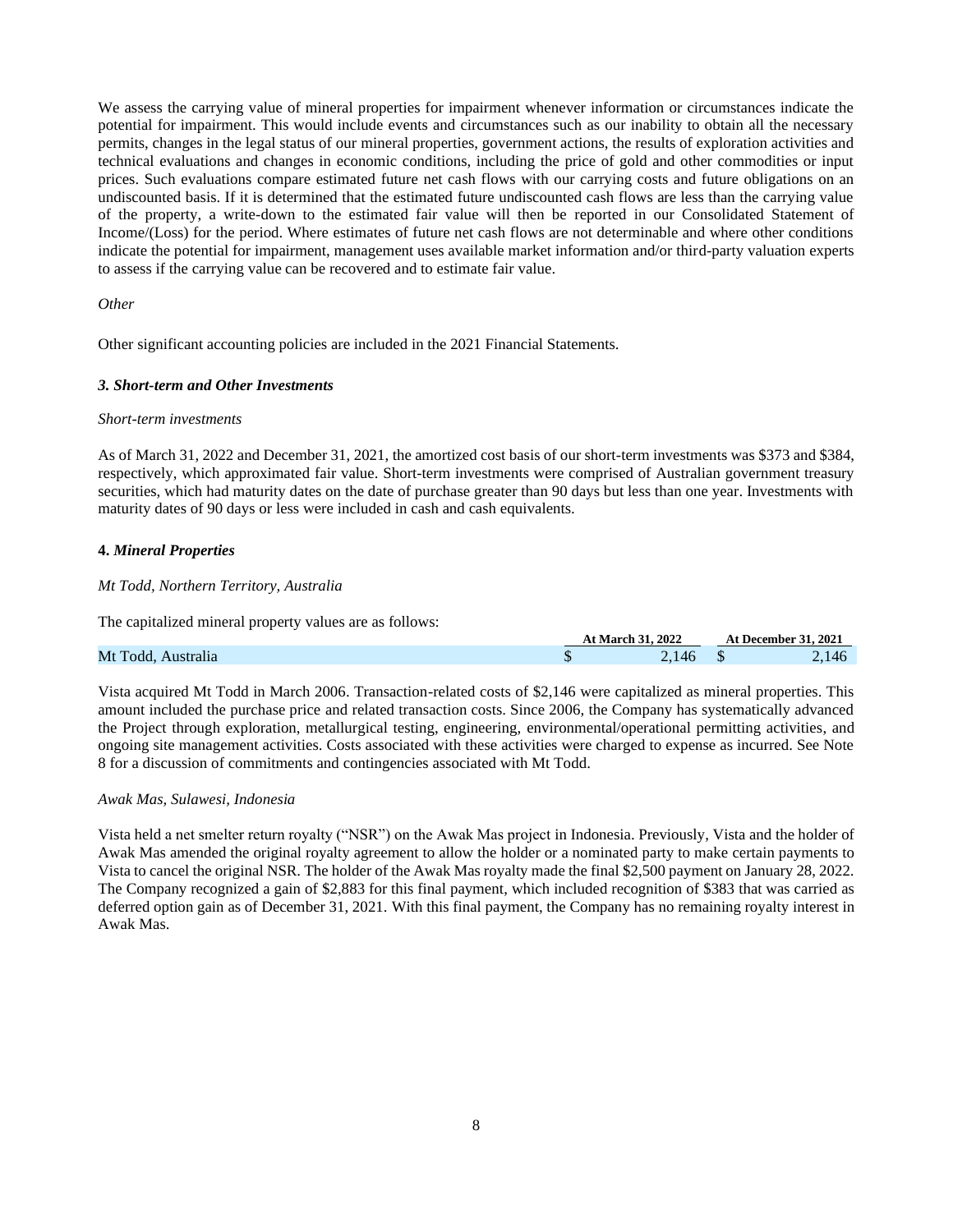We assess the carrying value of mineral properties for impairment whenever information or circumstances indicate the potential for impairment. This would include events and circumstances such as our inability to obtain all the necessary permits, changes in the legal status of our mineral properties, government actions, the results of exploration activities and technical evaluations and changes in economic conditions, including the price of gold and other commodities or input prices. Such evaluations compare estimated future net cash flows with our carrying costs and future obligations on an undiscounted basis. If it is determined that the estimated future undiscounted cash flows are less than the carrying value of the property, a write-down to the estimated fair value will then be reported in our Consolidated Statement of Income/(Loss) for the period. Where estimates of future net cash flows are not determinable and where other conditions indicate the potential for impairment, management uses available market information and/or third-party valuation experts to assess if the carrying value can be recovered and to estimate fair value.

### *Other*

Other significant accounting policies are included in the 2021 Financial Statements.

### *3. Short-term and Other Investments*

### *Short-term investments*

As of March 31, 2022 and December 31, 2021, the amortized cost basis of our short-term investments was \$373 and \$384, respectively, which approximated fair value. Short-term investments were comprised of Australian government treasury securities, which had maturity dates on the date of purchase greater than 90 days but less than one year. Investments with maturity dates of 90 days or less were included in cash and cash equivalents.

### **4.** *Mineral Properties*

### *Mt Todd, Northern Territory, Australia*

The capitalized mineral property values are as follows:

|                    | At March 31, 2022 | At December 31, 2021 |
|--------------------|-------------------|----------------------|
| Mt Todd, Australia | 146               | 2.146                |

**At March 31, 2022 At December 31, 2021**

Vista acquired Mt Todd in March 2006. Transaction-related costs of \$2,146 were capitalized as mineral properties. This amount included the purchase price and related transaction costs. Since 2006, the Company has systematically advanced the Project through exploration, metallurgical testing, engineering, environmental/operational permitting activities, and ongoing site management activities. Costs associated with these activities were charged to expense as incurred. See Note 8 for a discussion of commitments and contingencies associated with Mt Todd.

### *Awak Mas, Sulawesi, Indonesia*

Vista held a net smelter return royalty ("NSR") on the Awak Mas project in Indonesia. Previously, Vista and the holder of Awak Mas amended the original royalty agreement to allow the holder or a nominated party to make certain payments to Vista to cancel the original NSR. The holder of the Awak Mas royalty made the final \$2,500 payment on January 28, 2022. The Company recognized a gain of \$2,883 for this final payment, which included recognition of \$383 that was carried as deferred option gain as of December 31, 2021. With this final payment, the Company has no remaining royalty interest in Awak Mas.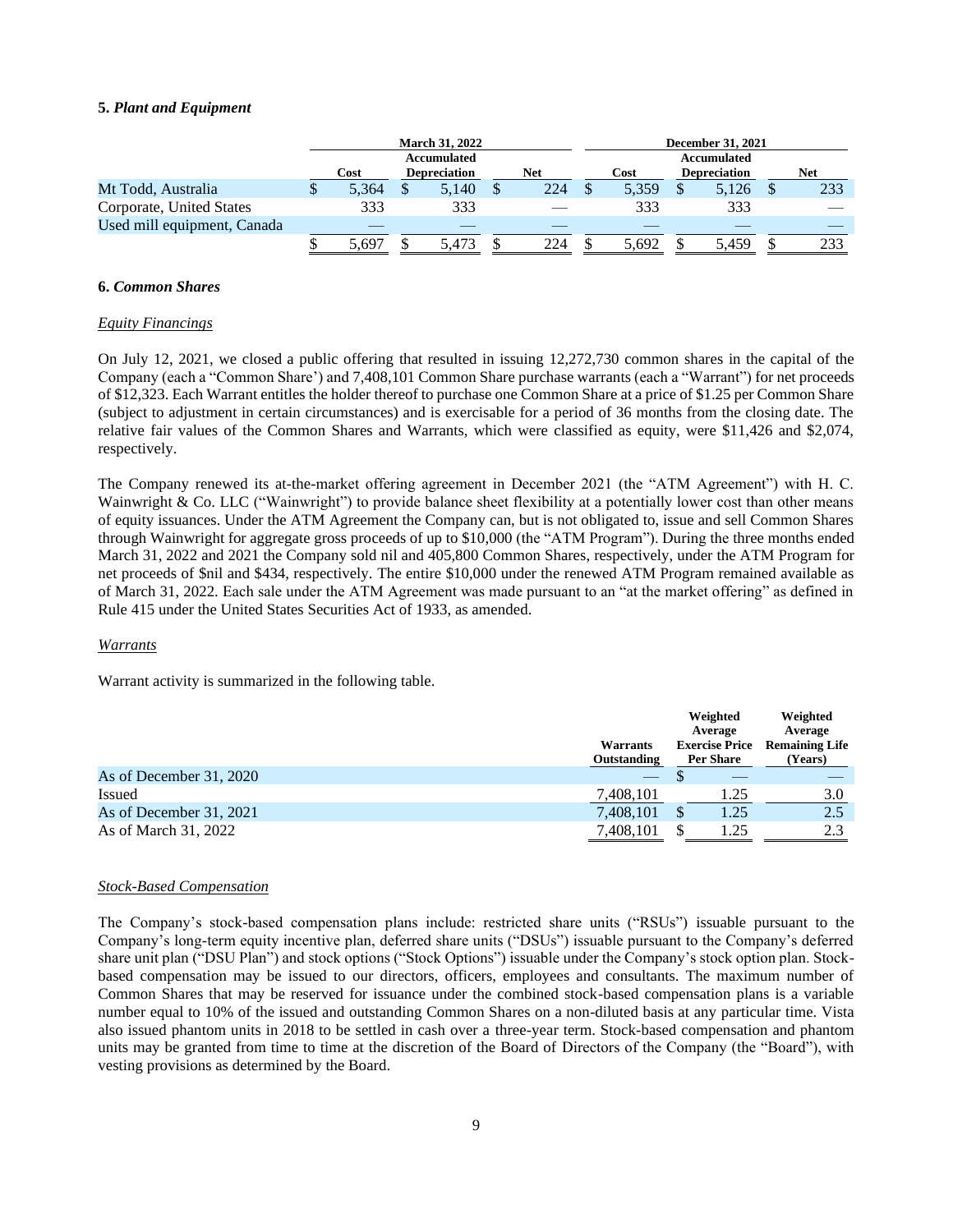### **5.** *Plant and Equipment*

|                             | <b>March 31, 2022</b> |  |                     |  | December 31, 2021 |  |       |             |                     |  |     |
|-----------------------------|-----------------------|--|---------------------|--|-------------------|--|-------|-------------|---------------------|--|-----|
|                             | Accumulated           |  |                     |  |                   |  |       | Accumulated |                     |  |     |
|                             | Cost                  |  | <b>Depreciation</b> |  | Net               |  | Cost  |             | <b>Depreciation</b> |  | Net |
| Mt Todd, Australia          | 5.364                 |  | 5,140               |  | 224               |  | 5.359 |             | 5,126               |  | 233 |
| Corporate, United States    | 333                   |  | 333                 |  |                   |  | 333   |             | 333                 |  |     |
| Used mill equipment, Canada |                       |  |                     |  |                   |  |       |             |                     |  |     |
|                             | 5.697                 |  | 5.473               |  | 224               |  | 5.692 |             | 5.459               |  | 233 |

### **6.** *Common Shares*

#### *Equity Financings*

On July 12, 2021, we closed a public offering that resulted in issuing 12,272,730 common shares in the capital of the Company (each a "Common Share') and 7,408,101 Common Share purchase warrants (each a "Warrant") for net proceeds of \$12,323. Each Warrant entitles the holder thereof to purchase one Common Share at a price of \$1.25 per Common Share (subject to adjustment in certain circumstances) and is exercisable for a period of 36 months from the closing date. The relative fair values of the Common Shares and Warrants, which were classified as equity, were \$11,426 and \$2,074, respectively.

The Company renewed its at-the-market offering agreement in December 2021 (the "ATM Agreement") with H. C. Wainwright & Co. LLC ("Wainwright") to provide balance sheet flexibility at a potentially lower cost than other means of equity issuances. Under the ATM Agreement the Company can, but is not obligated to, issue and sell Common Shares through Wainwright for aggregate gross proceeds of up to \$10,000 (the "ATM Program"). During the three months ended March 31, 2022 and 2021 the Company sold nil and 405,800 Common Shares, respectively, under the ATM Program for net proceeds of \$nil and \$434, respectively. The entire \$10,000 under the renewed ATM Program remained available as of March 31, 2022. Each sale under the ATM Agreement was made pursuant to an "at the market offering" as defined in Rule 415 under the United States Securities Act of 1933, as amended.

### *Warrants*

Warrant activity is summarized in the following table.

|                         | <b>Warrants</b><br>Outstanding | Weighted<br>Average<br><b>Exercise Price</b><br>Per Share | Weighted<br>Average<br><b>Remaining Life</b><br>(Years) |
|-------------------------|--------------------------------|-----------------------------------------------------------|---------------------------------------------------------|
| As of December 31, 2020 | $-$                            |                                                           |                                                         |
| <b>Issued</b>           | 7,408,101                      | 1.25                                                      | 3.0                                                     |
| As of December 31, 2021 | 7,408,101                      | 1.25<br>ъĐ                                                | 2.5                                                     |
| As of March 31, 2022    | 7,408,101                      | 1.25                                                      | 2.3                                                     |

### *Stock-Based Compensation*

The Company's stock-based compensation plans include: restricted share units ("RSUs") issuable pursuant to the Company's long-term equity incentive plan, deferred share units ("DSUs") issuable pursuant to the Company's deferred share unit plan ("DSU Plan") and stock options ("Stock Options") issuable under the Company's stock option plan. Stockbased compensation may be issued to our directors, officers, employees and consultants. The maximum number of Common Shares that may be reserved for issuance under the combined stock-based compensation plans is a variable number equal to 10% of the issued and outstanding Common Shares on a non-diluted basis at any particular time. Vista also issued phantom units in 2018 to be settled in cash over a three-year term. Stock-based compensation and phantom units may be granted from time to time at the discretion of the Board of Directors of the Company (the "Board"), with vesting provisions as determined by the Board.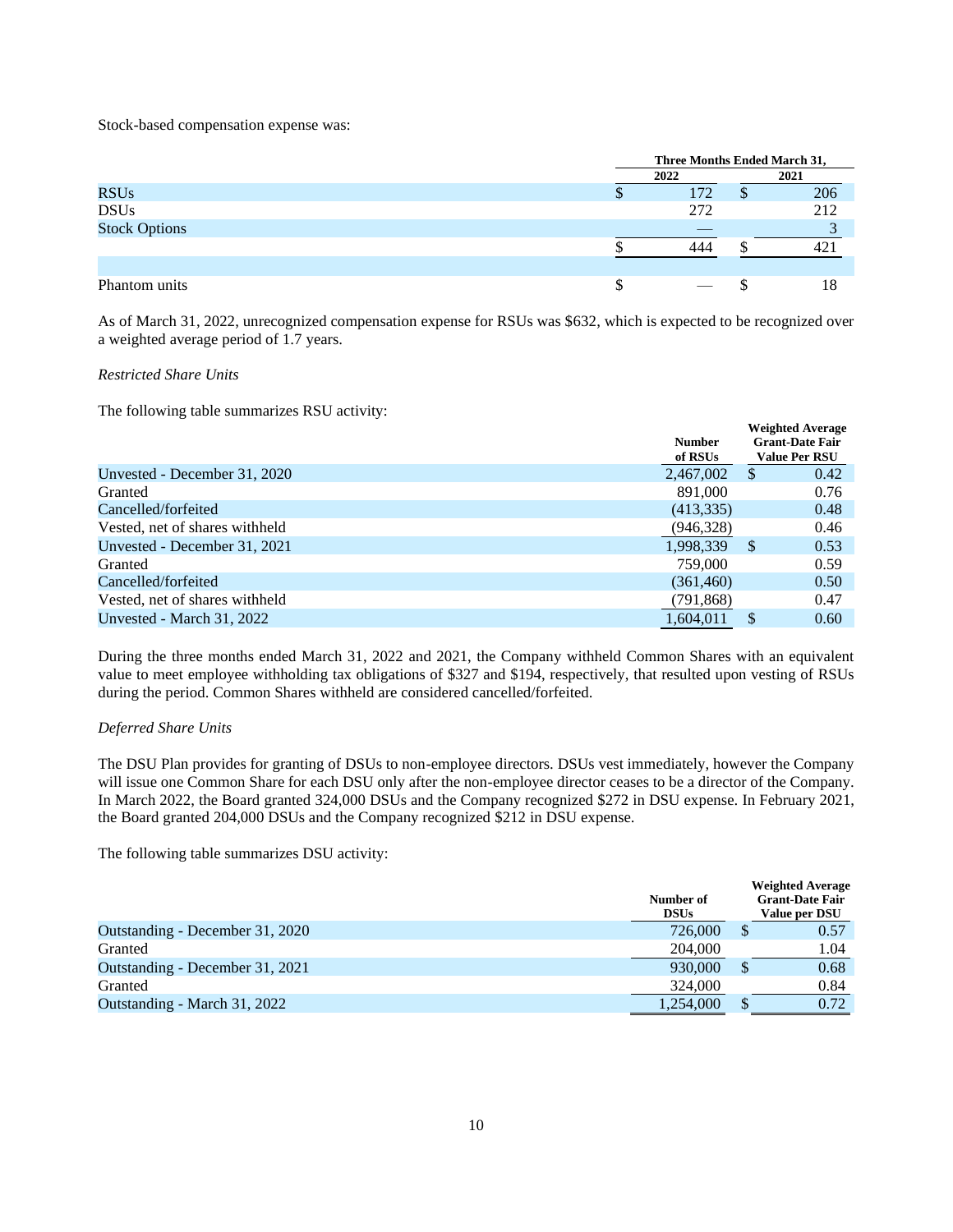Stock-based compensation expense was:

|                      | Three Months Ended March 31, |  |      |  |
|----------------------|------------------------------|--|------|--|
|                      | 2022                         |  | 2021 |  |
| <b>RSUs</b>          | 172                          |  | 206  |  |
| <b>DSUs</b>          | 272                          |  | 212  |  |
| <b>Stock Options</b> | _                            |  |      |  |
|                      | 444                          |  | 42   |  |
|                      |                              |  |      |  |
| Phantom units        | $\overline{\phantom{a}}$     |  | 18   |  |

As of March 31, 2022, unrecognized compensation expense for RSUs was \$632, which is expected to be recognized over a weighted average period of 1.7 years.

## *Restricted Share Units*

The following table summarizes RSU activity:

| ັ                              | <b>Number</b><br>of RSUs |               | <b>Weighted Average</b><br><b>Grant-Date Fair</b><br><b>Value Per RSU</b> |
|--------------------------------|--------------------------|---------------|---------------------------------------------------------------------------|
| Unvested - December 31, 2020   | 2,467,002                | <sup>S</sup>  | 0.42                                                                      |
| Granted                        | 891,000                  |               | 0.76                                                                      |
| Cancelled/forfeited            | (413, 335)               |               | 0.48                                                                      |
| Vested, net of shares withheld | (946, 328)               |               | 0.46                                                                      |
| Unvested - December 31, 2021   | 1,998,339                | <sup>\$</sup> | 0.53                                                                      |
| Granted                        | 759,000                  |               | 0.59                                                                      |
| Cancelled/forfeited            | (361, 460)               |               | 0.50                                                                      |
| Vested, net of shares withheld | (791, 868)               |               | 0.47                                                                      |
| Unvested - March 31, 2022      | 1,604,011                | <sup>\$</sup> | 0.60                                                                      |

During the three months ended March 31, 2022 and 2021, the Company withheld Common Shares with an equivalent value to meet employee withholding tax obligations of \$327 and \$194, respectively, that resulted upon vesting of RSUs during the period. Common Shares withheld are considered cancelled/forfeited.

## *Deferred Share Units*

The DSU Plan provides for granting of DSUs to non-employee directors. DSUs vest immediately, however the Company will issue one Common Share for each DSU only after the non-employee director ceases to be a director of the Company. In March 2022, the Board granted 324,000 DSUs and the Company recognized \$272 in DSU expense. In February 2021, the Board granted 204,000 DSUs and the Company recognized \$212 in DSU expense.

The following table summarizes DSU activity:

|                                 | Number of<br><b>DSUs</b> |   | <b>Weighted Average</b><br><b>Grant-Date Fair</b><br>Value per DSU |
|---------------------------------|--------------------------|---|--------------------------------------------------------------------|
| Outstanding - December 31, 2020 | 726,000                  | J | 0.57                                                               |
| Granted                         | 204,000                  |   | 1.04                                                               |
| Outstanding - December 31, 2021 | 930,000                  | D | 0.68                                                               |
| Granted                         | 324,000                  |   | 0.84                                                               |
| Outstanding - March 31, 2022    | 1,254,000                |   | 0.72                                                               |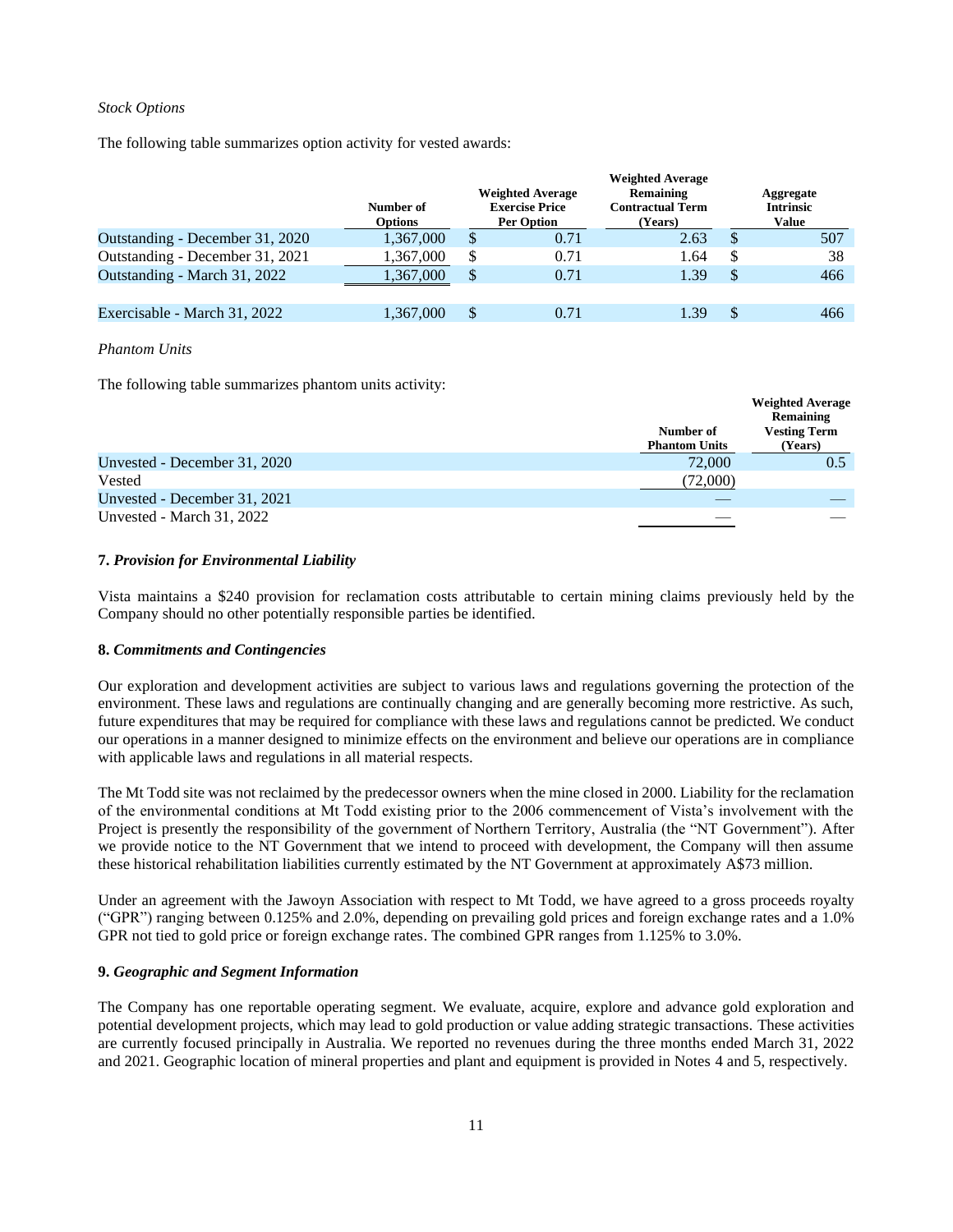### *Stock Options*

The following table summarizes option activity for vested awards:

|                                 | Number of<br><b>Options</b> | <b>Weighted Average</b><br><b>Exercise Price</b><br><b>Per Option</b> | <b>Weighted Average</b><br>Remaining<br><b>Contractual Term</b><br>(Years) | Aggregate<br><b>Intrinsic</b><br>Value |     |  |
|---------------------------------|-----------------------------|-----------------------------------------------------------------------|----------------------------------------------------------------------------|----------------------------------------|-----|--|
| Outstanding - December 31, 2020 | 1,367,000                   | 0.71                                                                  | 2.63                                                                       |                                        | 507 |  |
| Outstanding - December 31, 2021 | 1,367,000                   | 0.71                                                                  | 1.64                                                                       |                                        | 38  |  |
| Outstanding - March 31, 2022    | 1.367.000                   | \$<br>0.71                                                            | 1.39                                                                       |                                        | 466 |  |
|                                 |                             |                                                                       |                                                                            |                                        |     |  |
| Exercisable - March 31, 2022    | 1,367,000                   | 0.71                                                                  |                                                                            |                                        | 466 |  |

### *Phantom Units*

The following table summarizes phantom units activity:

|                              |                                   | <b>Weighted Average</b><br>Remaining |
|------------------------------|-----------------------------------|--------------------------------------|
|                              | Number of<br><b>Phantom Units</b> | <b>Vesting Term</b><br>(Years)       |
| Unvested - December 31, 2020 | 72,000                            | 0.5                                  |
| Vested                       | (72,000)                          |                                      |
| Unvested - December 31, 2021 |                                   |                                      |
| Unvested - March 31, 2022    |                                   |                                      |

## **7.** *Provision for Environmental Liability*

Vista maintains a \$240 provision for reclamation costs attributable to certain mining claims previously held by the Company should no other potentially responsible parties be identified.

## **8.** *Commitments and Contingencies*

Our exploration and development activities are subject to various laws and regulations governing the protection of the environment. These laws and regulations are continually changing and are generally becoming more restrictive. As such, future expenditures that may be required for compliance with these laws and regulations cannot be predicted. We conduct our operations in a manner designed to minimize effects on the environment and believe our operations are in compliance with applicable laws and regulations in all material respects.

The Mt Todd site was not reclaimed by the predecessor owners when the mine closed in 2000. Liability for the reclamation of the environmental conditions at Mt Todd existing prior to the 2006 commencement of Vista's involvement with the Project is presently the responsibility of the government of Northern Territory, Australia (the "NT Government"). After we provide notice to the NT Government that we intend to proceed with development, the Company will then assume these historical rehabilitation liabilities currently estimated by the NT Government at approximately A\$73 million.

Under an agreement with the Jawoyn Association with respect to Mt Todd, we have agreed to a gross proceeds royalty ("GPR") ranging between 0.125% and 2.0%, depending on prevailing gold prices and foreign exchange rates and a 1.0% GPR not tied to gold price or foreign exchange rates. The combined GPR ranges from 1.125% to 3.0%.

## **9.** *Geographic and Segment Information*

The Company has one reportable operating segment. We evaluate, acquire, explore and advance gold exploration and potential development projects, which may lead to gold production or value adding strategic transactions. These activities are currently focused principally in Australia. We reported no revenues during the three months ended March 31, 2022 and 2021. Geographic location of mineral properties and plant and equipment is provided in Notes 4 and 5, respectively.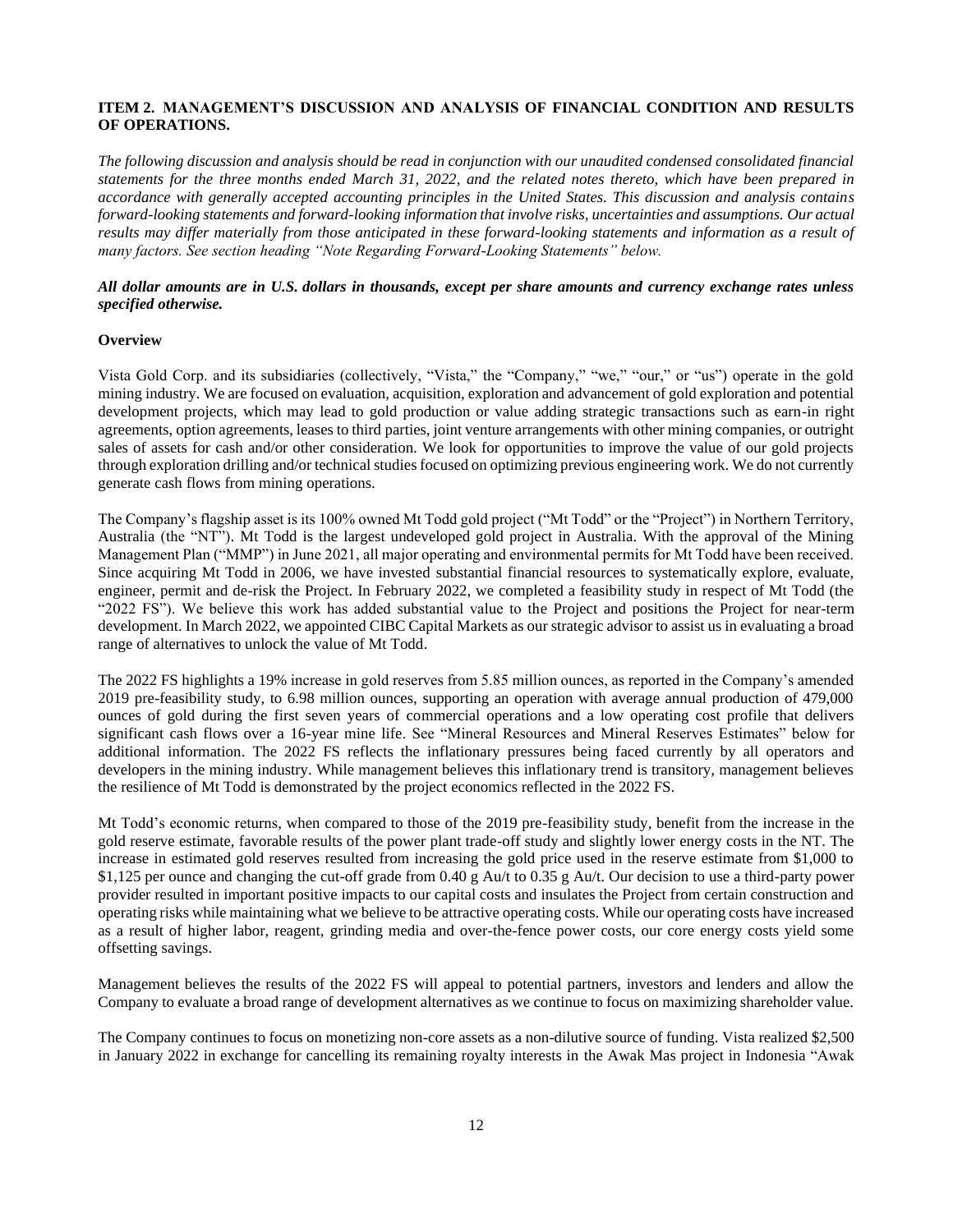## <span id="page-11-0"></span>**ITEM 2. MANAGEMENT'S DISCUSSION AND ANALYSIS OF FINANCIAL CONDITION AND RESULTS OF OPERATIONS.**

*The following discussion and analysis should be read in conjunction with our unaudited condensed consolidated financial statements for the three months ended March 31, 2022, and the related notes thereto, which have been prepared in accordance with generally accepted accounting principles in the United States. This discussion and analysis contains forward-looking statements and forward-looking information that involve risks, uncertainties and assumptions. Our actual*  results may differ materially from those anticipated in these forward-looking statements and information as a result of *many factors. See section heading "Note Regarding Forward-Looking Statements" below.*

## *All dollar amounts are in U.S. dollars in thousands, except per share amounts and currency exchange rates unless specified otherwise.*

### **Overview**

Vista Gold Corp. and its subsidiaries (collectively, "Vista," the "Company," "we," "our," or "us") operate in the gold mining industry. We are focused on evaluation, acquisition, exploration and advancement of gold exploration and potential development projects, which may lead to gold production or value adding strategic transactions such as earn-in right agreements, option agreements, leases to third parties, joint venture arrangements with other mining companies, or outright sales of assets for cash and/or other consideration. We look for opportunities to improve the value of our gold projects through exploration drilling and/or technical studies focused on optimizing previous engineering work. We do not currently generate cash flows from mining operations.

The Company's flagship asset is its 100% owned Mt Todd gold project ("Mt Todd" or the "Project") in Northern Territory, Australia (the "NT"). Mt Todd is the largest undeveloped gold project in Australia. With the approval of the Mining Management Plan ("MMP") in June 2021, all major operating and environmental permits for Mt Todd have been received. Since acquiring Mt Todd in 2006, we have invested substantial financial resources to systematically explore, evaluate, engineer, permit and de-risk the Project. In February 2022, we completed a feasibility study in respect of Mt Todd (the "2022 FS"). We believe this work has added substantial value to the Project and positions the Project for near-term development. In March 2022, we appointed CIBC Capital Markets as our strategic advisor to assist us in evaluating a broad range of alternatives to unlock the value of Mt Todd.

The 2022 FS highlights a 19% increase in gold reserves from 5.85 million ounces, as reported in the Company's amended 2019 pre-feasibility study, to 6.98 million ounces, supporting an operation with average annual production of 479,000 ounces of gold during the first seven years of commercial operations and a low operating cost profile that delivers significant cash flows over a 16-year mine life. See "Mineral Resources and Mineral Reserves Estimates" below for additional information. The 2022 FS reflects the inflationary pressures being faced currently by all operators and developers in the mining industry. While management believes this inflationary trend is transitory, management believes the resilience of Mt Todd is demonstrated by the project economics reflected in the 2022 FS.

Mt Todd's economic returns, when compared to those of the 2019 pre-feasibility study, benefit from the increase in the gold reserve estimate, favorable results of the power plant trade-off study and slightly lower energy costs in the NT. The increase in estimated gold reserves resulted from increasing the gold price used in the reserve estimate from \$1,000 to \$1,125 per ounce and changing the cut-off grade from 0.40 g Au/t to 0.35 g Au/t. Our decision to use a third-party power provider resulted in important positive impacts to our capital costs and insulates the Project from certain construction and operating risks while maintaining what we believe to be attractive operating costs. While our operating costs have increased as a result of higher labor, reagent, grinding media and over-the-fence power costs, our core energy costs yield some offsetting savings.

Management believes the results of the 2022 FS will appeal to potential partners, investors and lenders and allow the Company to evaluate a broad range of development alternatives as we continue to focus on maximizing shareholder value.

The Company continues to focus on monetizing non-core assets as a non-dilutive source of funding. Vista realized \$2,500 in January 2022 in exchange for cancelling its remaining royalty interests in the Awak Mas project in Indonesia "Awak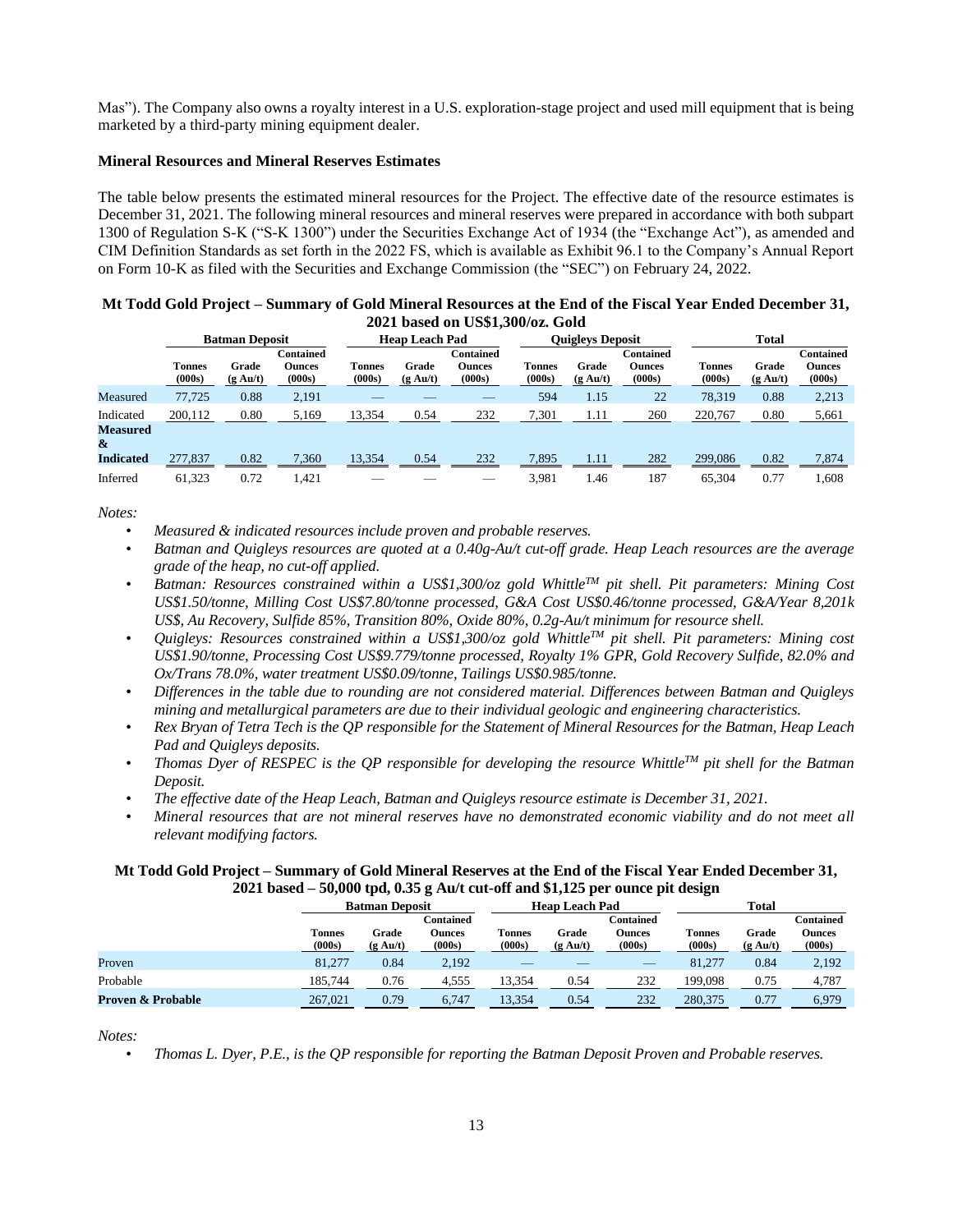Mas"). The Company also owns a royalty interest in a U.S. exploration-stage project and used mill equipment that is being marketed by a third-party mining equipment dealer.

### **Mineral Resources and Mineral Reserves Estimates**

The table below presents the estimated mineral resources for the Project. The effective date of the resource estimates is December 31, 2021. The following mineral resources and mineral reserves were prepared in accordance with both subpart 1300 of Regulation S-K ("S-K 1300") under the Securities Exchange Act of 1934 (the "Exchange Act"), as amended and CIM Definition Standards as set forth in the 2022 FS, which is available as Exhibit 96.1 to the Company's Annual Report on Form 10-K as filed with the Securities and Exchange Commission (the "SEC") on February 24, 2022.

|                      |                  |                             |                                             |                       |                             | 2021 Dased On Ossi, 300/02. Gold     |                  |                             |                                      |                         |                        |                                             |
|----------------------|------------------|-----------------------------|---------------------------------------------|-----------------------|-----------------------------|--------------------------------------|------------------|-----------------------------|--------------------------------------|-------------------------|------------------------|---------------------------------------------|
|                      |                  | <b>Batman Deposit</b>       |                                             | <b>Heap Leach Pad</b> |                             |                                      |                  | <b>Ouigleys Deposit</b>     |                                      | <b>Total</b>            |                        |                                             |
|                      | Tonnes<br>(000s) | Grade<br>$(g \text{ Au}/t)$ | <b>Contained</b><br><b>Ounces</b><br>(000s) | Tonnes<br>(000s)      | Grade<br>$(g \text{ Au}/t)$ | Contained<br><b>Ounces</b><br>(000s) | Tonnes<br>(000s) | Grade<br>$(g \text{ Au}/t)$ | Contained<br><b>Ounces</b><br>(000s) | <b>Tonnes</b><br>(000s) | Grade<br>$(g \, Au/t)$ | <b>Contained</b><br><b>Ounces</b><br>(000s) |
| Measured             | 77.725           | 0.88                        | 2,191                                       |                       |                             |                                      | 594              | 1.15                        | 22                                   | 78,319                  | 0.88                   | 2,213                                       |
| Indicated            | 200,112          | 0.80                        | 5,169                                       | 13,354                | 0.54                        | 232                                  | 7,301            | 1.11                        | 260                                  | 220,767                 | 0.80                   | 5,661                                       |
| <b>Measured</b><br>& |                  |                             |                                             |                       |                             |                                      |                  |                             |                                      |                         |                        |                                             |
| <b>Indicated</b>     | 277,837          | 0.82                        | 7.360                                       | 13,354                | 0.54                        | 232                                  | 7,895            | 1.11                        | 282                                  | 299,086                 | 0.82                   | 7.874                                       |
| Inferred             | 61.323           | 0.72                        | l.421                                       |                       |                             |                                      | 3.981            | 1.46                        | 187                                  | 65,304                  | 0.77                   | 1.608                                       |

| Mt Todd Gold Project – Summary of Gold Mineral Resources at the End of the Fiscal Year Ended December 31, |
|-----------------------------------------------------------------------------------------------------------|
| 2021 based on US\$1,300/oz. Gold                                                                          |

*Notes:*

- *Measured & indicated resources include proven and probable reserves.*
- *Batman and Quigleys resources are quoted at a 0.40g-Au/t cut-off grade. Heap Leach resources are the average grade of the heap, no cut-off applied.*
- *Batman: Resources constrained within a US\$1,300/oz gold WhittleTM pit shell. Pit parameters: Mining Cost US\$1.50/tonne, Milling Cost US\$7.80/tonne processed, G&A Cost US\$0.46/tonne processed, G&A/Year 8,201k US\$, Au Recovery, Sulfide 85%, Transition 80%, Oxide 80%, 0.2g-Au/t minimum for resource shell.*
- *Quigleys: Resources constrained within a US\$1,300/oz gold WhittleTM pit shell. Pit parameters: Mining cost US\$1.90/tonne, Processing Cost US\$9.779/tonne processed, Royalty 1% GPR, Gold Recovery Sulfide, 82.0% and Ox/Trans 78.0%, water treatment US\$0.09/tonne, Tailings US\$0.985/tonne.*
- *Differences in the table due to rounding are not considered material. Differences between Batman and Quigleys mining and metallurgical parameters are due to their individual geologic and engineering characteristics.*
- *Rex Bryan of Tetra Tech is the QP responsible for the Statement of Mineral Resources for the Batman, Heap Leach Pad and Quigleys deposits.*
- *Thomas Dyer of RESPEC is the QP responsible for developing the resource WhittleTM pit shell for the Batman Deposit.*
- *The effective date of the Heap Leach, Batman and Quigleys resource estimate is December 31, 2021.*
- *Mineral resources that are not mineral reserves have no demonstrated economic viability and do not meet all relevant modifying factors.*

# **Mt Todd Gold Project – Summary of Gold Mineral Reserves at the End of the Fiscal Year Ended December 31, 2021 based – 50,000 tpd, 0.35 g Au/t cut-off and \$1,125 per ounce pit design**

|                              |                         | <b>Batman Deposit</b>       |                                      |                  | <b>Heap Leach Pad</b>       |                                             |                         | <b>Total</b>                |                                      |  |
|------------------------------|-------------------------|-----------------------------|--------------------------------------|------------------|-----------------------------|---------------------------------------------|-------------------------|-----------------------------|--------------------------------------|--|
|                              | <b>Tonnes</b><br>(000s) | Grade<br>$(g \text{ Au}/t)$ | Contained<br><b>Ounces</b><br>(000s) | Tonnes<br>(000s) | Grade<br>$(g \text{ Au}/t)$ | <b>Contained</b><br><b>Ounces</b><br>(000s) | <b>Tonnes</b><br>(000s) | Grade<br>$(g \text{ Au}/t)$ | Contained<br><b>Ounces</b><br>(000s) |  |
| Proven                       | 81,277                  | 0.84                        | 2,192                                |                  |                             | $\overline{\phantom{a}}$                    | 81,277                  | 0.84                        | 2,192                                |  |
| Probable                     | 185.744                 | 0.76                        | 4,555                                | 13.354           | 0.54                        | 232                                         | 199.098                 | 0.75                        | 4,787                                |  |
| <b>Proven &amp; Probable</b> | 267,021                 | 0.79                        | 6,747                                | 13.354           | 0.54                        | 232                                         | 280.375                 | 0.77                        | 6.979                                |  |

*Notes:*

• *Thomas L. Dyer, P.E., is the QP responsible for reporting the Batman Deposit Proven and Probable reserves.*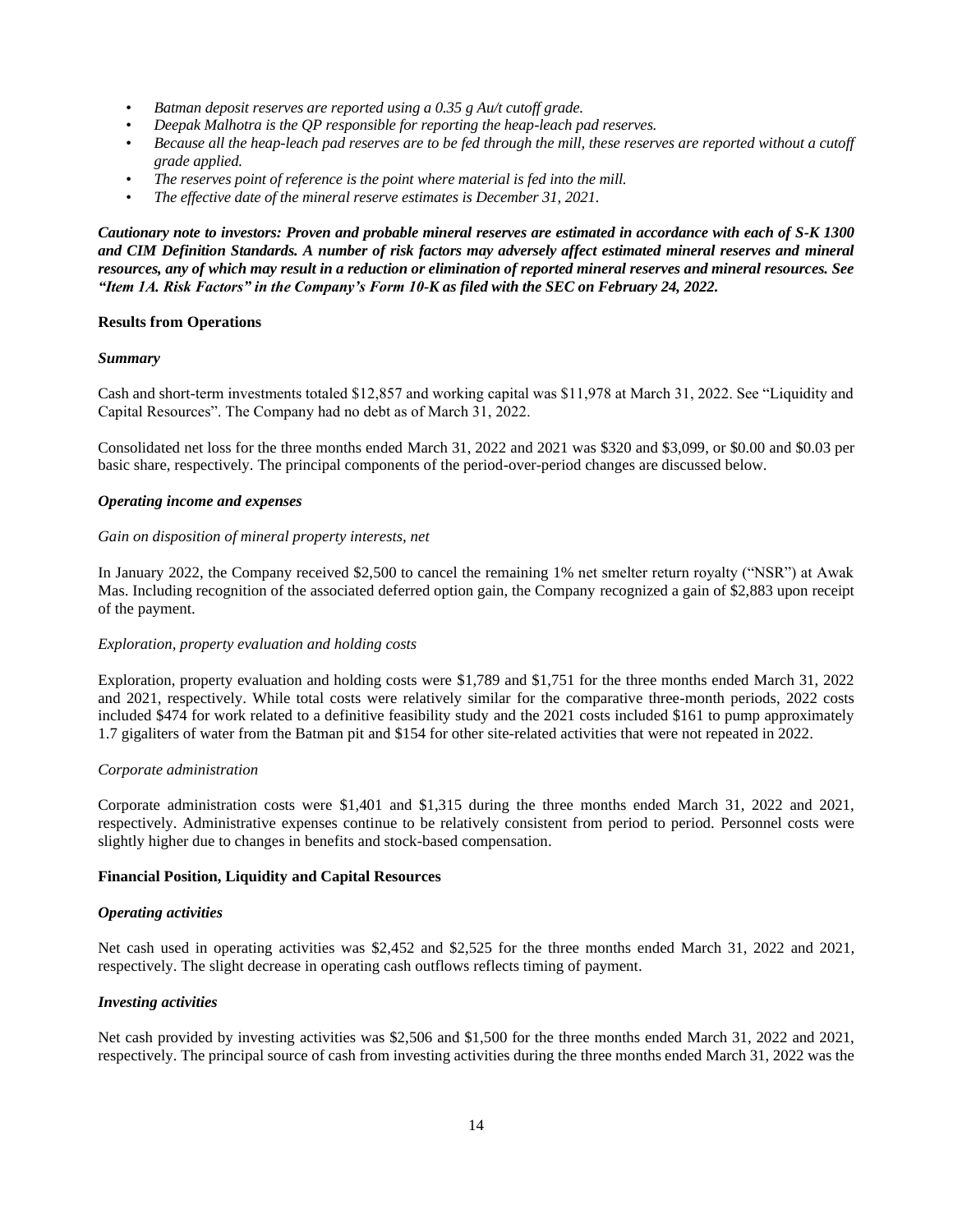- *Batman deposit reserves are reported using a 0.35 g Au/t cutoff grade.*
- *Deepak Malhotra is the QP responsible for reporting the heap-leach pad reserves.*
- *Because all the heap-leach pad reserves are to be fed through the mill, these reserves are reported without a cutoff grade applied.*
- *The reserves point of reference is the point where material is fed into the mill.*
- *The effective date of the mineral reserve estimates is December 31, 2021.*

*Cautionary note to investors: Proven and probable mineral reserves are estimated in accordance with each of S-K 1300 and CIM Definition Standards. A number of risk factors may adversely affect estimated mineral reserves and mineral resources, any of which may result in a reduction or elimination of reported mineral reserves and mineral resources. See "Item 1A. Risk Factors" in the Company's Form 10-K as filed with the SEC on February 24, 2022.*

### **Results from Operations**

### *Summary*

Cash and short-term investments totaled \$12,857 and working capital was \$11,978 at March 31, 2022. See "Liquidity and Capital Resources". The Company had no debt as of March 31, 2022.

Consolidated net loss for the three months ended March 31, 2022 and 2021 was \$320 and \$3,099, or \$0.00 and \$0.03 per basic share, respectively. The principal components of the period-over-period changes are discussed below.

### *Operating income and expenses*

### *Gain on disposition of mineral property interests, net*

In January 2022, the Company received \$2,500 to cancel the remaining 1% net smelter return royalty ("NSR") at Awak Mas. Including recognition of the associated deferred option gain, the Company recognized a gain of \$2,883 upon receipt of the payment.

## *Exploration, property evaluation and holding costs*

Exploration, property evaluation and holding costs were \$1,789 and \$1,751 for the three months ended March 31, 2022 and 2021, respectively. While total costs were relatively similar for the comparative three-month periods, 2022 costs included \$474 for work related to a definitive feasibility study and the 2021 costs included \$161 to pump approximately 1.7 gigaliters of water from the Batman pit and \$154 for other site-related activities that were not repeated in 2022.

### *Corporate administration*

Corporate administration costs were \$1,401 and \$1,315 during the three months ended March 31, 2022 and 2021, respectively. Administrative expenses continue to be relatively consistent from period to period. Personnel costs were slightly higher due to changes in benefits and stock-based compensation.

## **Financial Position, Liquidity and Capital Resources**

### *Operating activities*

Net cash used in operating activities was \$2,452 and \$2,525 for the three months ended March 31, 2022 and 2021, respectively. The slight decrease in operating cash outflows reflects timing of payment.

## *Investing activities*

Net cash provided by investing activities was \$2,506 and \$1,500 for the three months ended March 31, 2022 and 2021, respectively. The principal source of cash from investing activities during the three months ended March 31, 2022 was the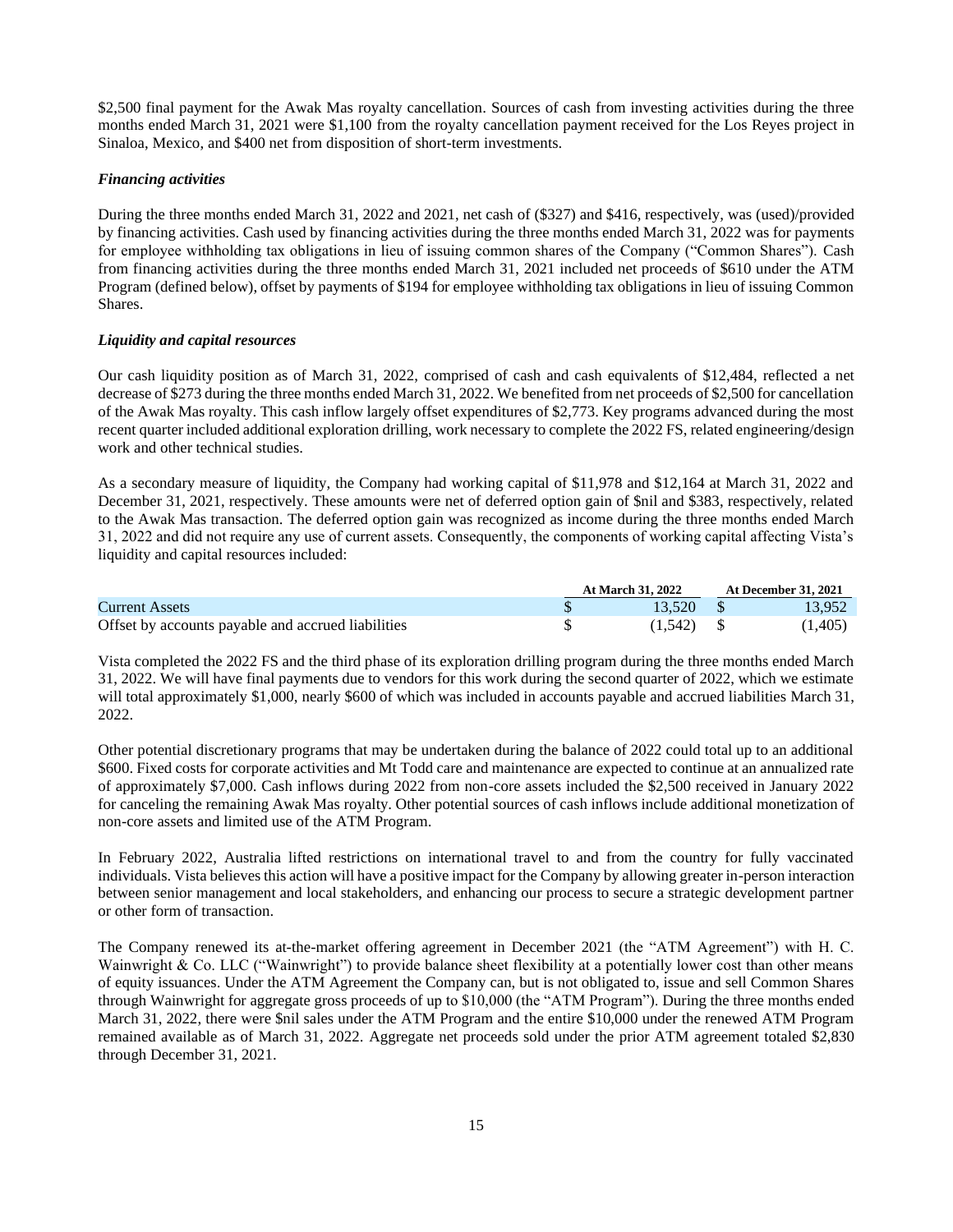\$2,500 final payment for the Awak Mas royalty cancellation. Sources of cash from investing activities during the three months ended March 31, 2021 were \$1,100 from the royalty cancellation payment received for the Los Reyes project in Sinaloa, Mexico, and \$400 net from disposition of short-term investments.

## *Financing activities*

During the three months ended March 31, 2022 and 2021, net cash of (\$327) and \$416, respectively, was (used)/provided by financing activities. Cash used by financing activities during the three months ended March 31, 2022 was for payments for employee withholding tax obligations in lieu of issuing common shares of the Company ("Common Shares"). Cash from financing activities during the three months ended March 31, 2021 included net proceeds of \$610 under the ATM Program (defined below), offset by payments of \$194 for employee withholding tax obligations in lieu of issuing Common Shares.

### *Liquidity and capital resources*

Our cash liquidity position as of March 31, 2022, comprised of cash and cash equivalents of \$12,484, reflected a net decrease of \$273 during the three months ended March 31, 2022. We benefited from net proceeds of \$2,500 for cancellation of the Awak Mas royalty. This cash inflow largely offset expenditures of \$2,773. Key programs advanced during the most recent quarter included additional exploration drilling, work necessary to complete the 2022 FS, related engineering/design work and other technical studies.

As a secondary measure of liquidity, the Company had working capital of \$11,978 and \$12,164 at March 31, 2022 and December 31, 2021, respectively. These amounts were net of deferred option gain of \$nil and \$383, respectively, related to the Awak Mas transaction. The deferred option gain was recognized as income during the three months ended March 31, 2022 and did not require any use of current assets. Consequently, the components of working capital affecting Vista's liquidity and capital resources included:

|                                                    | <b>At March 31, 2022</b> |         |  | <b>At December 31, 2021</b> |  |  |
|----------------------------------------------------|--------------------------|---------|--|-----------------------------|--|--|
| <b>Current Assets</b>                              |                          | 13.520  |  | 13.952                      |  |  |
| Offset by accounts payable and accrued liabilities |                          | (1.542) |  | (1,405)                     |  |  |

Vista completed the 2022 FS and the third phase of its exploration drilling program during the three months ended March 31, 2022. We will have final payments due to vendors for this work during the second quarter of 2022, which we estimate will total approximately \$1,000, nearly \$600 of which was included in accounts payable and accrued liabilities March 31, 2022.

Other potential discretionary programs that may be undertaken during the balance of 2022 could total up to an additional \$600. Fixed costs for corporate activities and Mt Todd care and maintenance are expected to continue at an annualized rate of approximately \$7,000. Cash inflows during 2022 from non-core assets included the \$2,500 received in January 2022 for canceling the remaining Awak Mas royalty. Other potential sources of cash inflows include additional monetization of non-core assets and limited use of the ATM Program.

In February 2022, Australia lifted restrictions on international travel to and from the country for fully vaccinated individuals. Vista believes this action will have a positive impact for the Company by allowing greater in-person interaction between senior management and local stakeholders, and enhancing our process to secure a strategic development partner or other form of transaction.

The Company renewed its at-the-market offering agreement in December 2021 (the "ATM Agreement") with H. C. Wainwright & Co. LLC ("Wainwright") to provide balance sheet flexibility at a potentially lower cost than other means of equity issuances. Under the ATM Agreement the Company can, but is not obligated to, issue and sell Common Shares through Wainwright for aggregate gross proceeds of up to \$10,000 (the "ATM Program"). During the three months ended March 31, 2022, there were \$nil sales under the ATM Program and the entire \$10,000 under the renewed ATM Program remained available as of March 31, 2022. Aggregate net proceeds sold under the prior ATM agreement totaled \$2,830 through December 31, 2021.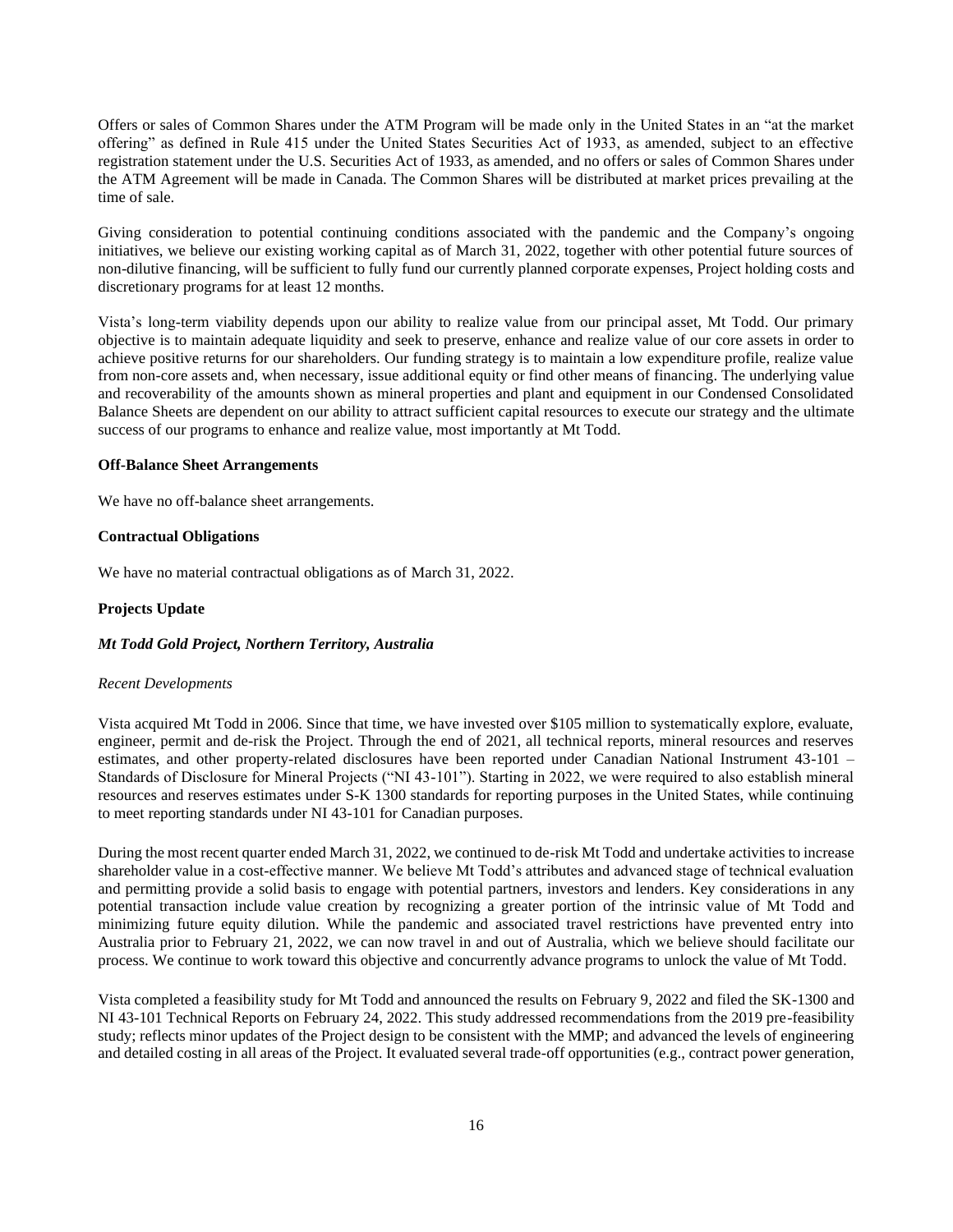Offers or sales of Common Shares under the ATM Program will be made only in the United States in an "at the market offering" as defined in Rule 415 under the United States Securities Act of 1933, as amended, subject to an effective registration statement under the U.S. Securities Act of 1933, as amended, and no offers or sales of Common Shares under the ATM Agreement will be made in Canada. The Common Shares will be distributed at market prices prevailing at the time of sale.

Giving consideration to potential continuing conditions associated with the pandemic and the Company's ongoing initiatives, we believe our existing working capital as of March 31, 2022, together with other potential future sources of non-dilutive financing, will be sufficient to fully fund our currently planned corporate expenses, Project holding costs and discretionary programs for at least 12 months.

Vista's long-term viability depends upon our ability to realize value from our principal asset, Mt Todd. Our primary objective is to maintain adequate liquidity and seek to preserve, enhance and realize value of our core assets in order to achieve positive returns for our shareholders. Our funding strategy is to maintain a low expenditure profile, realize value from non-core assets and, when necessary, issue additional equity or find other means of financing. The underlying value and recoverability of the amounts shown as mineral properties and plant and equipment in our Condensed Consolidated Balance Sheets are dependent on our ability to attract sufficient capital resources to execute our strategy and the ultimate success of our programs to enhance and realize value, most importantly at Mt Todd.

### **Off-Balance Sheet Arrangements**

We have no off-balance sheet arrangements.

### **Contractual Obligations**

We have no material contractual obligations as of March 31, 2022.

### **Projects Update**

### *Mt Todd Gold Project, Northern Territory, Australia*

#### *Recent Developments*

Vista acquired Mt Todd in 2006. Since that time, we have invested over \$105 million to systematically explore, evaluate, engineer, permit and de-risk the Project. Through the end of 2021, all technical reports, mineral resources and reserves estimates, and other property-related disclosures have been reported under Canadian National Instrument 43-101 – Standards of Disclosure for Mineral Projects ("NI 43-101"). Starting in 2022, we were required to also establish mineral resources and reserves estimates under S-K 1300 standards for reporting purposes in the United States, while continuing to meet reporting standards under NI 43-101 for Canadian purposes.

During the most recent quarter ended March 31, 2022, we continued to de-risk Mt Todd and undertake activities to increase shareholder value in a cost-effective manner. We believe Mt Todd's attributes and advanced stage of technical evaluation and permitting provide a solid basis to engage with potential partners, investors and lenders. Key considerations in any potential transaction include value creation by recognizing a greater portion of the intrinsic value of Mt Todd and minimizing future equity dilution. While the pandemic and associated travel restrictions have prevented entry into Australia prior to February 21, 2022, we can now travel in and out of Australia, which we believe should facilitate our process. We continue to work toward this objective and concurrently advance programs to unlock the value of Mt Todd.

Vista completed a feasibility study for Mt Todd and announced the results on February 9, 2022 and filed the SK-1300 and NI 43-101 Technical Reports on February 24, 2022. This study addressed recommendations from the 2019 pre-feasibility study; reflects minor updates of the Project design to be consistent with the MMP; and advanced the levels of engineering and detailed costing in all areas of the Project. It evaluated several trade-off opportunities (e.g., contract power generation,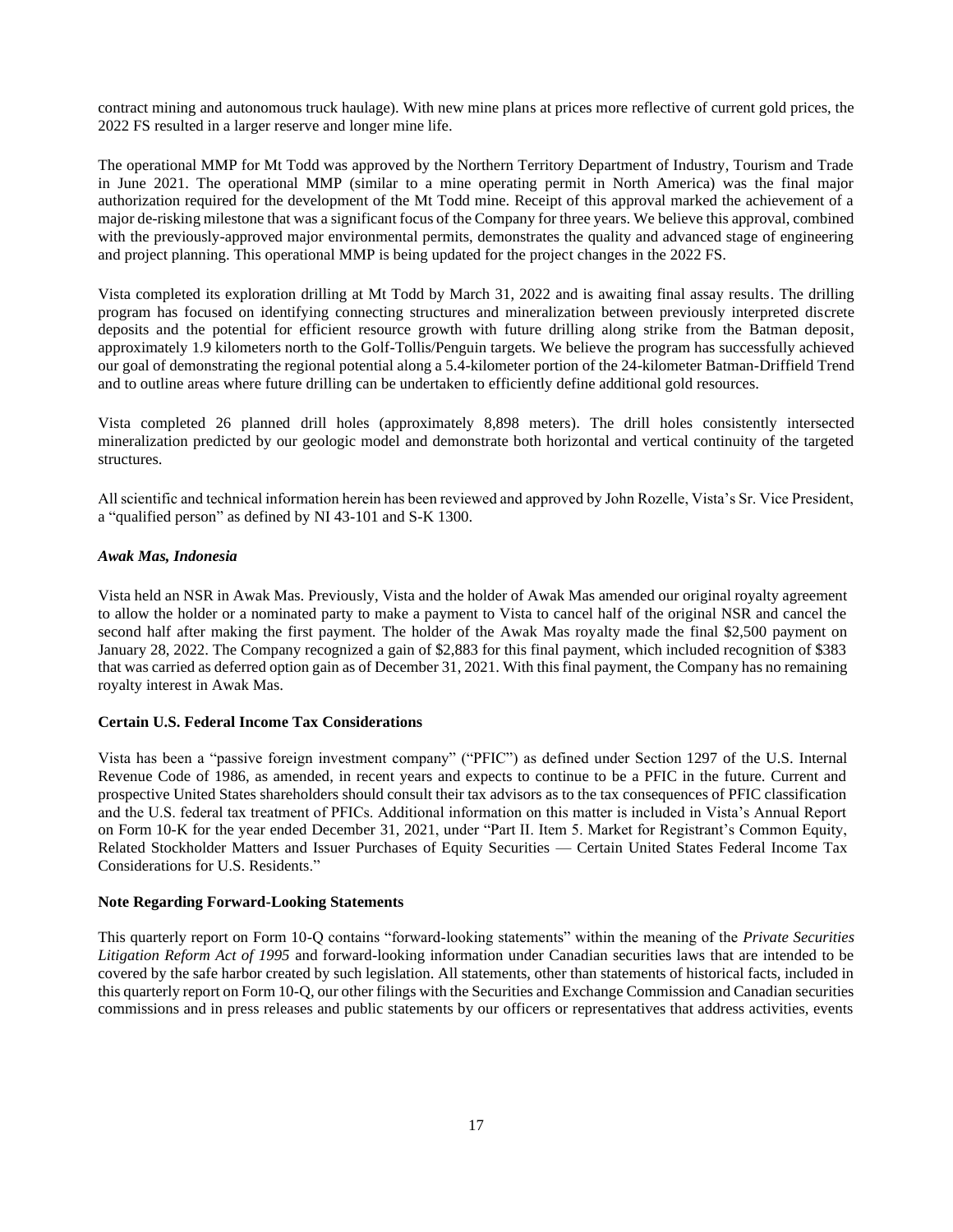contract mining and autonomous truck haulage). With new mine plans at prices more reflective of current gold prices, the 2022 FS resulted in a larger reserve and longer mine life.

The operational MMP for Mt Todd was approved by the Northern Territory Department of Industry, Tourism and Trade in June 2021. The operational MMP (similar to a mine operating permit in North America) was the final major authorization required for the development of the Mt Todd mine. Receipt of this approval marked the achievement of a major de-risking milestone that was a significant focus of the Company for three years. We believe this approval, combined with the previously-approved major environmental permits, demonstrates the quality and advanced stage of engineering and project planning. This operational MMP is being updated for the project changes in the 2022 FS.

Vista completed its exploration drilling at Mt Todd by March 31, 2022 and is awaiting final assay results. The drilling program has focused on identifying connecting structures and mineralization between previously interpreted discrete deposits and the potential for efficient resource growth with future drilling along strike from the Batman deposit, approximately 1.9 kilometers north to the Golf-Tollis/Penguin targets. We believe the program has successfully achieved our goal of demonstrating the regional potential along a 5.4-kilometer portion of the 24-kilometer Batman-Driffield Trend and to outline areas where future drilling can be undertaken to efficiently define additional gold resources.

Vista completed 26 planned drill holes (approximately 8,898 meters). The drill holes consistently intersected mineralization predicted by our geologic model and demonstrate both horizontal and vertical continuity of the targeted structures.

All scientific and technical information herein has been reviewed and approved by John Rozelle, Vista's Sr. Vice President, a "qualified person" as defined by NI 43-101 and S-K 1300.

### *Awak Mas, Indonesia*

Vista held an NSR in Awak Mas. Previously, Vista and the holder of Awak Mas amended our original royalty agreement to allow the holder or a nominated party to make a payment to Vista to cancel half of the original NSR and cancel the second half after making the first payment. The holder of the Awak Mas royalty made the final \$2,500 payment on January 28, 2022. The Company recognized a gain of \$2,883 for this final payment, which included recognition of \$383 that was carried as deferred option gain as of December 31, 2021. With this final payment, the Company has no remaining royalty interest in Awak Mas.

### **Certain U.S. Federal Income Tax Considerations**

Vista has been a "passive foreign investment company" ("PFIC") as defined under Section 1297 of the U.S. Internal Revenue Code of 1986, as amended, in recent years and expects to continue to be a PFIC in the future. Current and prospective United States shareholders should consult their tax advisors as to the tax consequences of PFIC classification and the U.S. federal tax treatment of PFICs. Additional information on this matter is included in Vista's Annual Report on Form 10-K for the year ended December 31, 2021, under "Part II. Item 5. Market for Registrant's Common Equity, Related Stockholder Matters and Issuer Purchases of Equity Securities — Certain United States Federal Income Tax Considerations for U.S. Residents."

### **Note Regarding Forward-Looking Statements**

This quarterly report on Form 10-Q contains "forward-looking statements" within the meaning of the *Private Securities Litigation Reform Act of 1995* and forward-looking information under Canadian securities laws that are intended to be covered by the safe harbor created by such legislation. All statements, other than statements of historical facts, included in this quarterly report on Form 10-Q, our other filings with the Securities and Exchange Commission and Canadian securities commissions and in press releases and public statements by our officers or representatives that address activities, events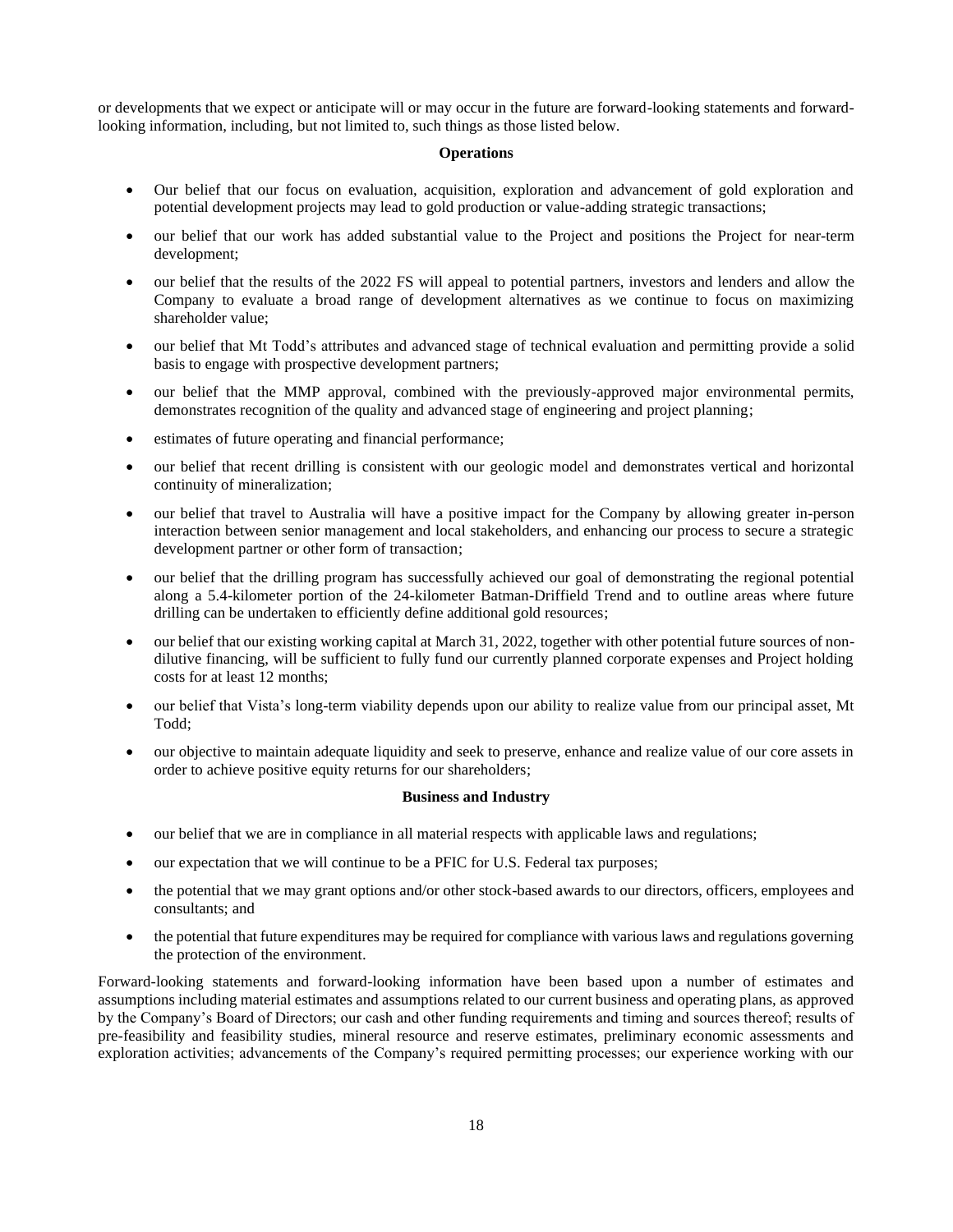or developments that we expect or anticipate will or may occur in the future are forward-looking statements and forwardlooking information, including, but not limited to, such things as those listed below.

### **Operations**

- Our belief that our focus on evaluation, acquisition, exploration and advancement of gold exploration and potential development projects may lead to gold production or value-adding strategic transactions;
- our belief that our work has added substantial value to the Project and positions the Project for near-term development;
- our belief that the results of the 2022 FS will appeal to potential partners, investors and lenders and allow the Company to evaluate a broad range of development alternatives as we continue to focus on maximizing shareholder value;
- our belief that Mt Todd's attributes and advanced stage of technical evaluation and permitting provide a solid basis to engage with prospective development partners;
- our belief that the MMP approval, combined with the previously-approved major environmental permits, demonstrates recognition of the quality and advanced stage of engineering and project planning;
- estimates of future operating and financial performance;
- our belief that recent drilling is consistent with our geologic model and demonstrates vertical and horizontal continuity of mineralization;
- our belief that travel to Australia will have a positive impact for the Company by allowing greater in-person interaction between senior management and local stakeholders, and enhancing our process to secure a strategic development partner or other form of transaction;
- our belief that the drilling program has successfully achieved our goal of demonstrating the regional potential along a 5.4-kilometer portion of the 24-kilometer Batman-Driffield Trend and to outline areas where future drilling can be undertaken to efficiently define additional gold resources;
- our belief that our existing working capital at March 31, 2022, together with other potential future sources of nondilutive financing, will be sufficient to fully fund our currently planned corporate expenses and Project holding costs for at least 12 months;
- our belief that Vista's long-term viability depends upon our ability to realize value from our principal asset, Mt Todd;
- our objective to maintain adequate liquidity and seek to preserve, enhance and realize value of our core assets in order to achieve positive equity returns for our shareholders;

## **Business and Industry**

- our belief that we are in compliance in all material respects with applicable laws and regulations;
- our expectation that we will continue to be a PFIC for U.S. Federal tax purposes;
- the potential that we may grant options and/or other stock-based awards to our directors, officers, employees and consultants; and
- the potential that future expenditures may be required for compliance with various laws and regulations governing the protection of the environment.

Forward-looking statements and forward-looking information have been based upon a number of estimates and assumptions including material estimates and assumptions related to our current business and operating plans, as approved by the Company's Board of Directors; our cash and other funding requirements and timing and sources thereof; results of pre-feasibility and feasibility studies, mineral resource and reserve estimates, preliminary economic assessments and exploration activities; advancements of the Company's required permitting processes; our experience working with our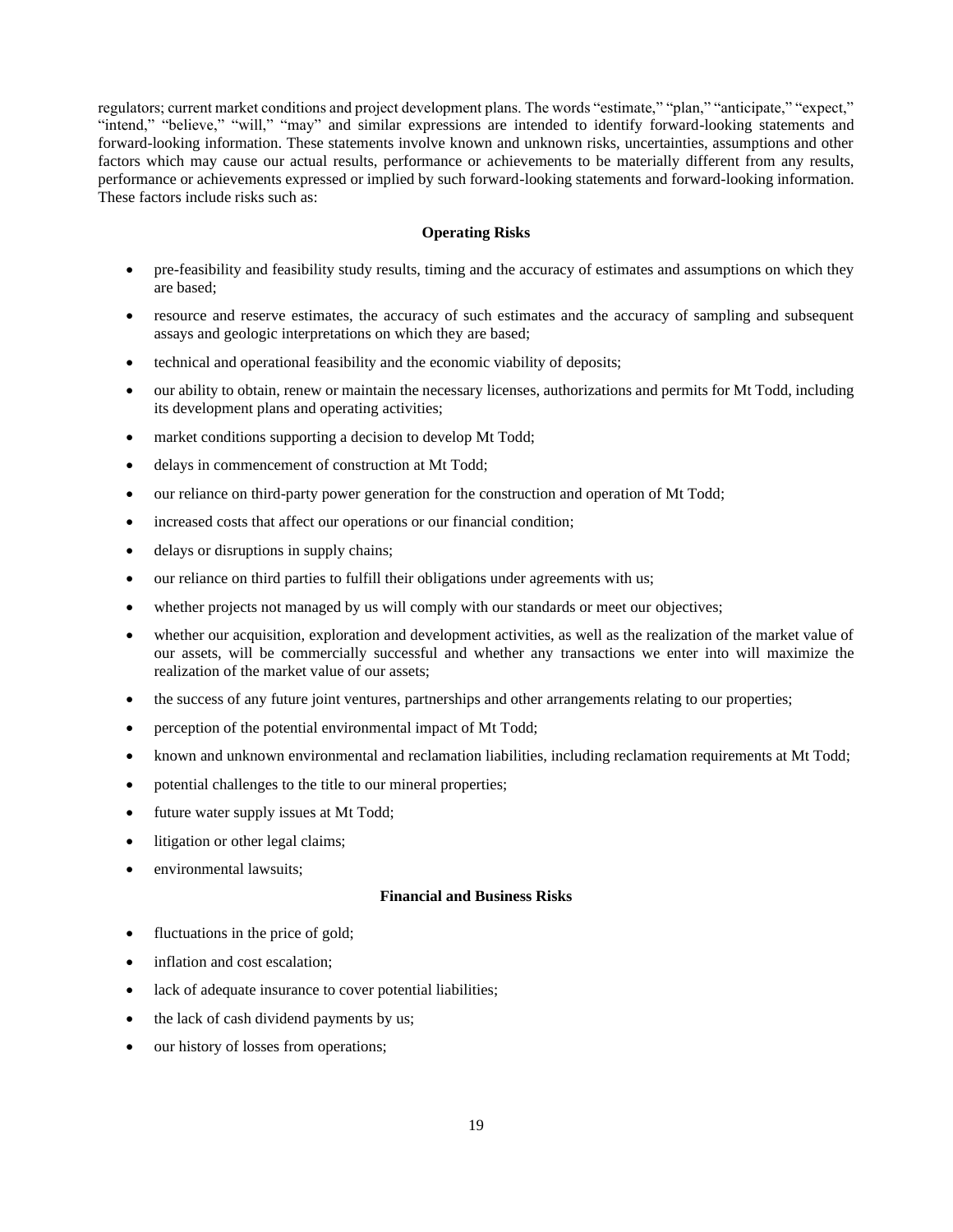regulators; current market conditions and project development plans. The words "estimate," "plan," "anticipate," "expect," "intend," "believe," "will," "may" and similar expressions are intended to identify forward-looking statements and forward-looking information. These statements involve known and unknown risks, uncertainties, assumptions and other factors which may cause our actual results, performance or achievements to be materially different from any results, performance or achievements expressed or implied by such forward-looking statements and forward-looking information. These factors include risks such as:

### **Operating Risks**

- pre-feasibility and feasibility study results, timing and the accuracy of estimates and assumptions on which they are based;
- resource and reserve estimates, the accuracy of such estimates and the accuracy of sampling and subsequent assays and geologic interpretations on which they are based;
- technical and operational feasibility and the economic viability of deposits;
- our ability to obtain, renew or maintain the necessary licenses, authorizations and permits for Mt Todd, including its development plans and operating activities;
- market conditions supporting a decision to develop Mt Todd;
- delays in commencement of construction at Mt Todd;
- our reliance on third-party power generation for the construction and operation of Mt Todd;
- increased costs that affect our operations or our financial condition;
- delays or disruptions in supply chains;
- our reliance on third parties to fulfill their obligations under agreements with us;
- whether projects not managed by us will comply with our standards or meet our objectives;
- whether our acquisition, exploration and development activities, as well as the realization of the market value of our assets, will be commercially successful and whether any transactions we enter into will maximize the realization of the market value of our assets;
- the success of any future joint ventures, partnerships and other arrangements relating to our properties;
- perception of the potential environmental impact of Mt Todd;
- known and unknown environmental and reclamation liabilities, including reclamation requirements at Mt Todd;
- potential challenges to the title to our mineral properties;
- future water supply issues at Mt Todd;
- litigation or other legal claims;
- environmental lawsuits;

## **Financial and Business Risks**

- fluctuations in the price of gold;
- inflation and cost escalation;
- lack of adequate insurance to cover potential liabilities;
- the lack of cash dividend payments by us;
- our history of losses from operations;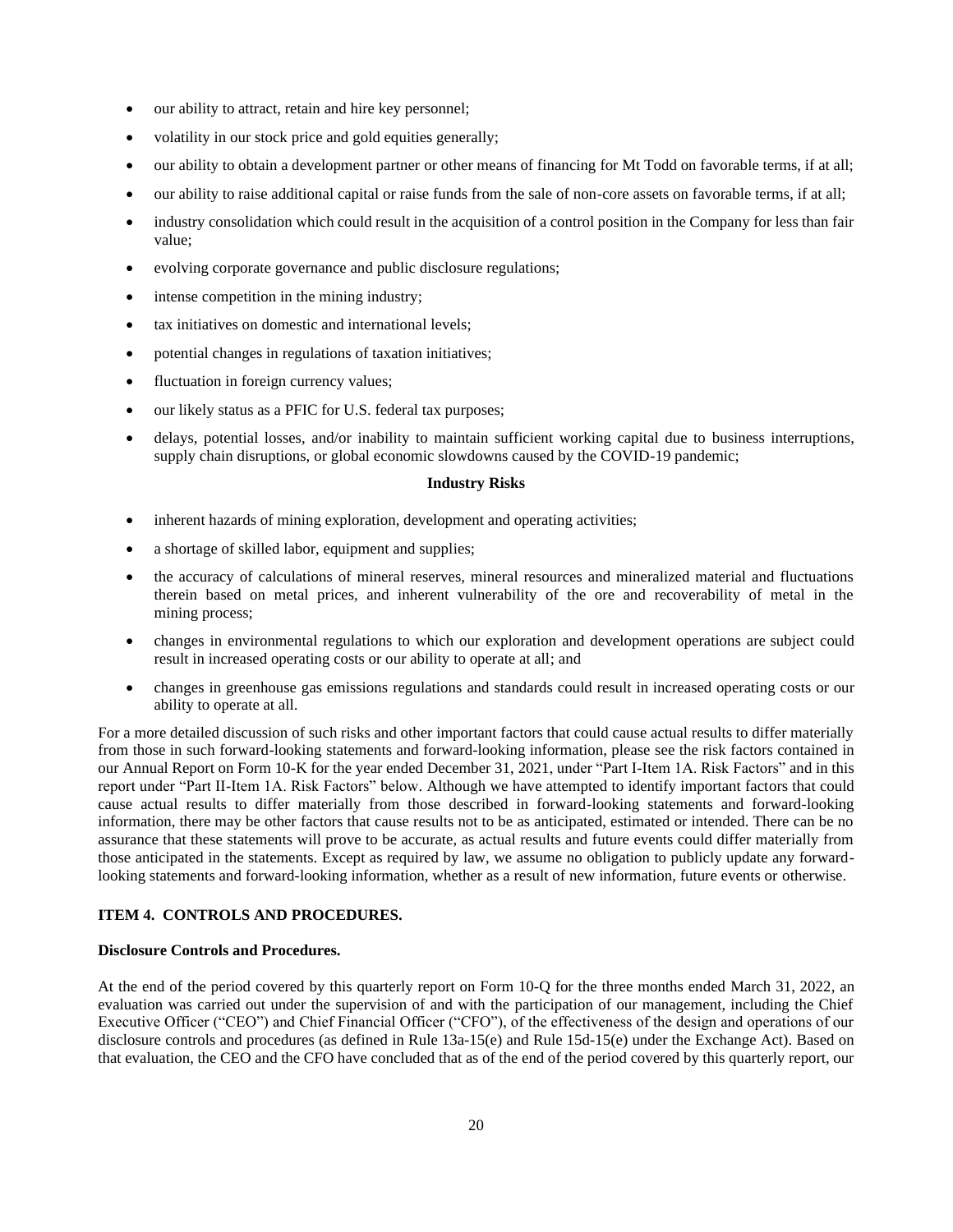- our ability to attract, retain and hire key personnel;
- volatility in our stock price and gold equities generally;
- our ability to obtain a development partner or other means of financing for Mt Todd on favorable terms, if at all;
- our ability to raise additional capital or raise funds from the sale of non-core assets on favorable terms, if at all;
- industry consolidation which could result in the acquisition of a control position in the Company for less than fair value;
- evolving corporate governance and public disclosure regulations;
- intense competition in the mining industry;
- tax initiatives on domestic and international levels;
- potential changes in regulations of taxation initiatives;
- fluctuation in foreign currency values;
- our likely status as a PFIC for U.S. federal tax purposes;
- delays, potential losses, and/or inability to maintain sufficient working capital due to business interruptions, supply chain disruptions, or global economic slowdowns caused by the COVID-19 pandemic;

## **Industry Risks**

- inherent hazards of mining exploration, development and operating activities;
- a shortage of skilled labor, equipment and supplies;
- the accuracy of calculations of mineral reserves, mineral resources and mineralized material and fluctuations therein based on metal prices, and inherent vulnerability of the ore and recoverability of metal in the mining process;
- changes in environmental regulations to which our exploration and development operations are subject could result in increased operating costs or our ability to operate at all; and
- changes in greenhouse gas emissions regulations and standards could result in increased operating costs or our ability to operate at all.

For a more detailed discussion of such risks and other important factors that could cause actual results to differ materially from those in such forward-looking statements and forward-looking information, please see the risk factors contained in our Annual Report on Form 10-K for the year ended December 31, 2021, under "Part I-Item 1A. Risk Factors" and in this report under "Part II-Item 1A. Risk Factors" below. Although we have attempted to identify important factors that could cause actual results to differ materially from those described in forward-looking statements and forward-looking information, there may be other factors that cause results not to be as anticipated, estimated or intended. There can be no assurance that these statements will prove to be accurate, as actual results and future events could differ materially from those anticipated in the statements. Except as required by law, we assume no obligation to publicly update any forwardlooking statements and forward-looking information, whether as a result of new information, future events or otherwise.

# <span id="page-19-0"></span>**ITEM 4. CONTROLS AND PROCEDURES.**

## **Disclosure Controls and Procedures.**

At the end of the period covered by this quarterly report on Form 10-Q for the three months ended March 31, 2022, an evaluation was carried out under the supervision of and with the participation of our management, including the Chief Executive Officer ("CEO") and Chief Financial Officer ("CFO"), of the effectiveness of the design and operations of our disclosure controls and procedures (as defined in Rule 13a-15(e) and Rule 15d-15(e) under the Exchange Act). Based on that evaluation, the CEO and the CFO have concluded that as of the end of the period covered by this quarterly report, our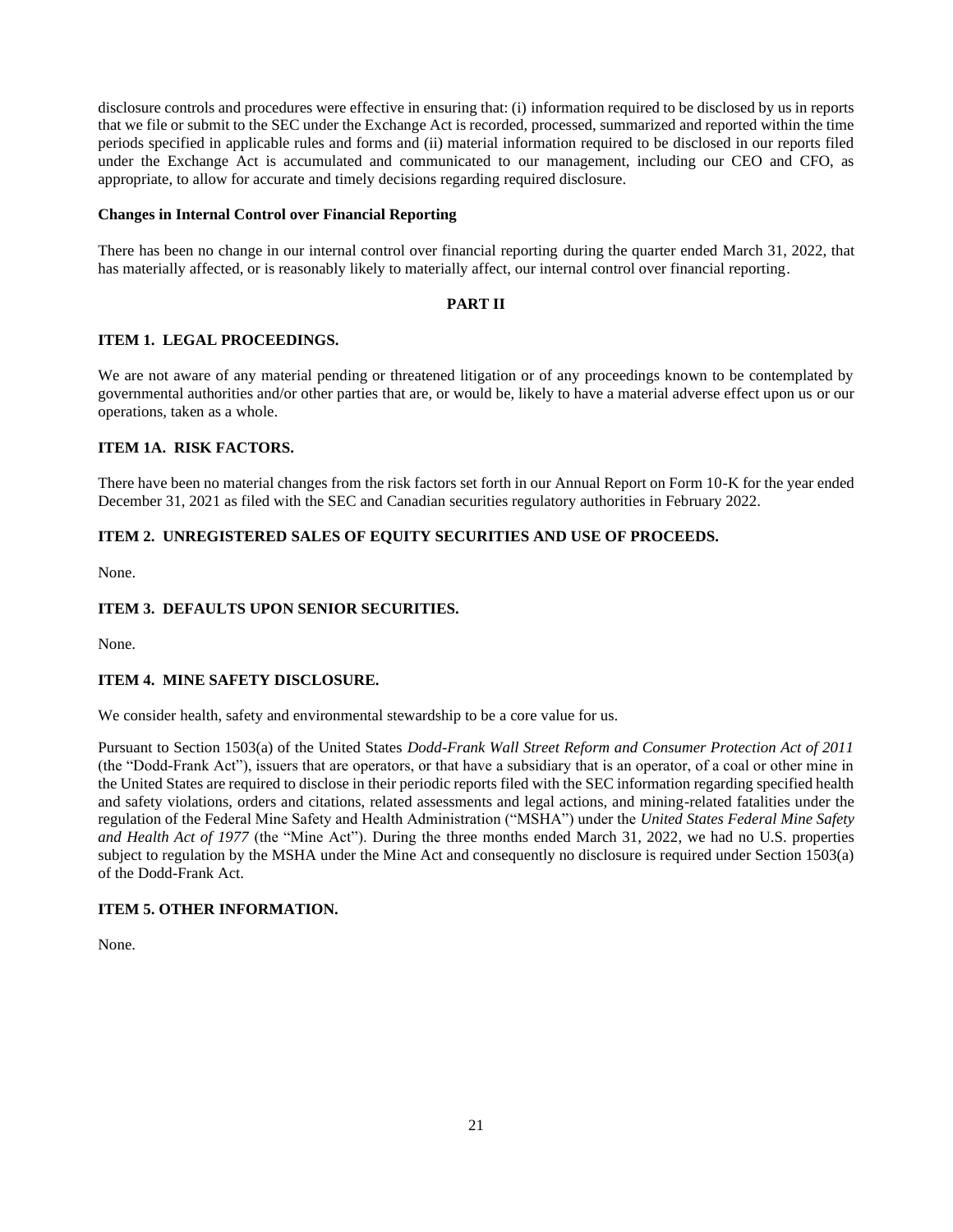disclosure controls and procedures were effective in ensuring that: (i) information required to be disclosed by us in reports that we file or submit to the SEC under the Exchange Act is recorded, processed, summarized and reported within the time periods specified in applicable rules and forms and (ii) material information required to be disclosed in our reports filed under the Exchange Act is accumulated and communicated to our management, including our CEO and CFO, as appropriate, to allow for accurate and timely decisions regarding required disclosure.

### **Changes in Internal Control over Financial Reporting**

There has been no change in our internal control over financial reporting during the quarter ended March 31, 2022, that has materially affected, or is reasonably likely to materially affect, our internal control over financial reporting.

## <span id="page-20-4"></span><span id="page-20-3"></span><span id="page-20-1"></span><span id="page-20-0"></span>**PART II**

### **ITEM 1. LEGAL PROCEEDINGS.**

We are not aware of any material pending or threatened litigation or of any proceedings known to be contemplated by governmental authorities and/or other parties that are, or would be, likely to have a material adverse effect upon us or our operations, taken as a whole.

## <span id="page-20-2"></span>**ITEM 1A. RISK FACTORS.**

There have been no material changes from the risk factors set forth in our Annual Report on Form 10-K for the year ended December 31, 2021 as filed with the SEC and Canadian securities regulatory authorities in February 2022.

## **ITEM 2. UNREGISTERED SALES OF EQUITY SECURITIES AND USE OF PROCEEDS.**

None.

## **ITEM 3. DEFAULTS UPON SENIOR SECURITIES.**

None.

## <span id="page-20-5"></span>**ITEM 4. MINE SAFETY DISCLOSURE.**

We consider health, safety and environmental stewardship to be a core value for us.

Pursuant to Section 1503(a) of the United States *Dodd-Frank Wall Street Reform and Consumer Protection Act of 2011* (the "Dodd-Frank Act"), issuers that are operators, or that have a subsidiary that is an operator, of a coal or other mine in the United States are required to disclose in their periodic reports filed with the SEC information regarding specified health and safety violations, orders and citations, related assessments and legal actions, and mining-related fatalities under the regulation of the Federal Mine Safety and Health Administration ("MSHA") under the *United States Federal Mine Safety and Health Act of 1977* (the "Mine Act"). During the three months ended March 31, 2022, we had no U.S. properties subject to regulation by the MSHA under the Mine Act and consequently no disclosure is required under Section 1503(a) of the Dodd-Frank Act.

## <span id="page-20-6"></span>**ITEM 5. OTHER INFORMATION.**

None.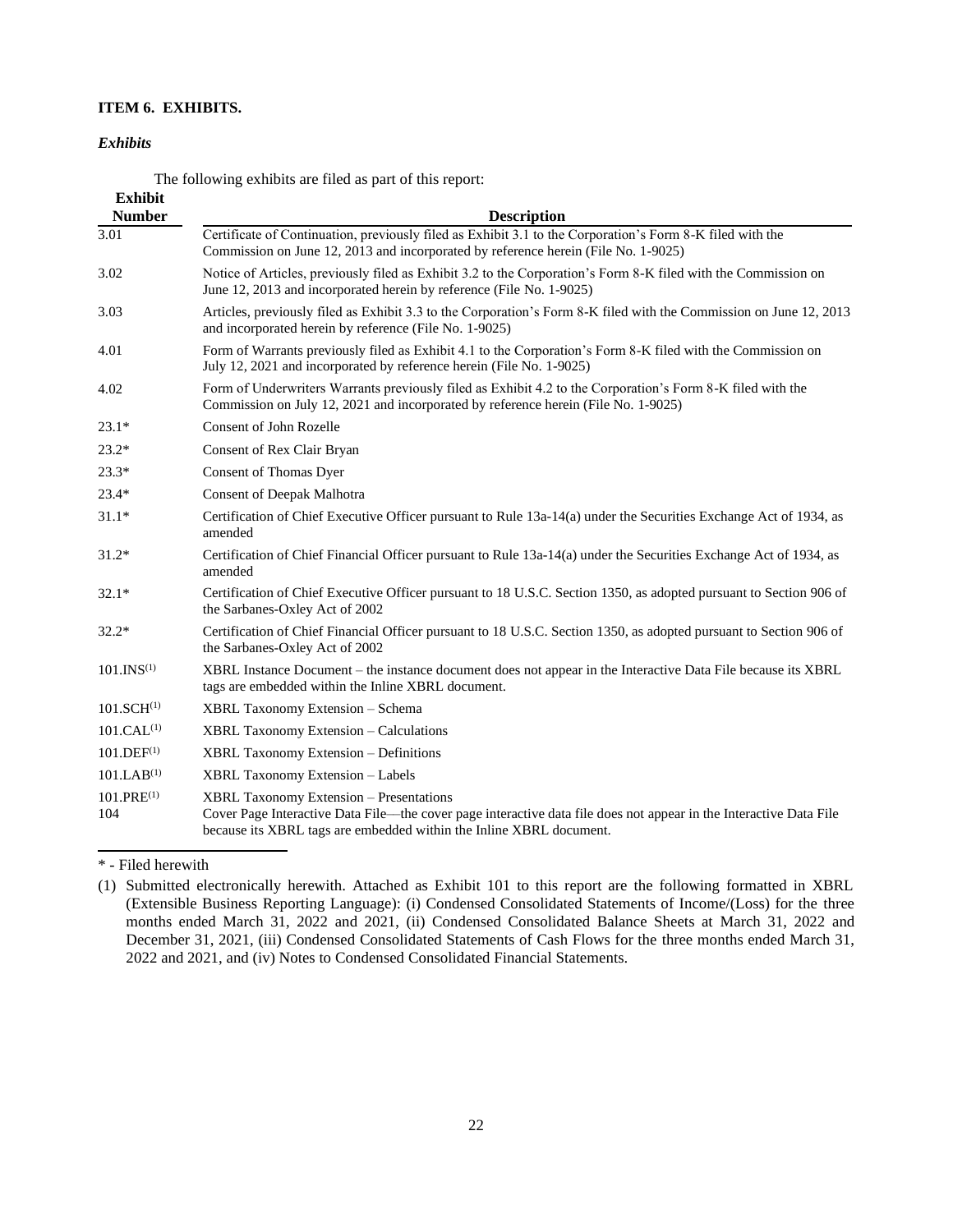# **ITEM 6. EXHIBITS.**

### *Exhibits*

<span id="page-21-0"></span>The following exhibits are filed as part of this report:

| <b>Exhibit</b><br><b>Number</b> | <b>Description</b>                                                                                                                                                                                                                          |
|---------------------------------|---------------------------------------------------------------------------------------------------------------------------------------------------------------------------------------------------------------------------------------------|
| 3.01                            | Certificate of Continuation, previously filed as Exhibit 3.1 to the Corporation's Form 8-K filed with the<br>Commission on June 12, 2013 and incorporated by reference herein (File No. 1-9025)                                             |
| 3.02                            | Notice of Articles, previously filed as Exhibit 3.2 to the Corporation's Form 8-K filed with the Commission on<br>June 12, 2013 and incorporated herein by reference (File No. 1-9025)                                                      |
| 3.03                            | Articles, previously filed as Exhibit 3.3 to the Corporation's Form 8-K filed with the Commission on June 12, 2013<br>and incorporated herein by reference (File No. 1-9025)                                                                |
| 4.01                            | Form of Warrants previously filed as Exhibit 4.1 to the Corporation's Form 8-K filed with the Commission on<br>July 12, 2021 and incorporated by reference herein (File No. 1-9025)                                                         |
| 4.02                            | Form of Underwriters Warrants previously filed as Exhibit 4.2 to the Corporation's Form 8-K filed with the<br>Commission on July 12, 2021 and incorporated by reference herein (File No. 1-9025)                                            |
| $23.1*$                         | Consent of John Rozelle                                                                                                                                                                                                                     |
| $23.2*$                         | Consent of Rex Clair Bryan                                                                                                                                                                                                                  |
| $23.3*$                         | Consent of Thomas Dyer                                                                                                                                                                                                                      |
| $23.4*$                         | <b>Consent of Deepak Malhotra</b>                                                                                                                                                                                                           |
| $31.1*$                         | Certification of Chief Executive Officer pursuant to Rule 13a-14(a) under the Securities Exchange Act of 1934, as<br>amended                                                                                                                |
| $31.2*$                         | Certification of Chief Financial Officer pursuant to Rule 13a-14(a) under the Securities Exchange Act of 1934, as<br>amended                                                                                                                |
| $32.1*$                         | Certification of Chief Executive Officer pursuant to 18 U.S.C. Section 1350, as adopted pursuant to Section 906 of<br>the Sarbanes-Oxley Act of 2002                                                                                        |
| $32.2*$                         | Certification of Chief Financial Officer pursuant to 18 U.S.C. Section 1350, as adopted pursuant to Section 906 of<br>the Sarbanes-Oxley Act of 2002                                                                                        |
| 101.INS <sup>(1)</sup>          | XBRL Instance Document – the instance document does not appear in the Interactive Data File because its XBRL<br>tags are embedded within the Inline XBRL document.                                                                          |
| 101.SCH <sup>(1)</sup>          | <b>XBRL Taxonomy Extension – Schema</b>                                                                                                                                                                                                     |
| 101.CAL <sup>(1)</sup>          | <b>XBRL Taxonomy Extension - Calculations</b>                                                                                                                                                                                               |
| 101.DEF <sup>(1)</sup>          | XBRL Taxonomy Extension - Definitions                                                                                                                                                                                                       |
| 101.LAB <sup>(1)</sup>          | <b>XBRL Taxonomy Extension - Labels</b>                                                                                                                                                                                                     |
| $101.PRE^{(1)}$<br>104          | <b>XBRL Taxonomy Extension – Presentations</b><br>Cover Page Interactive Data File—the cover page interactive data file does not appear in the Interactive Data File<br>because its XBRL tags are embedded within the Inline XBRL document. |

\* - Filed herewith

<sup>(1)</sup> Submitted electronically herewith. Attached as Exhibit 101 to this report are the following formatted in XBRL (Extensible Business Reporting Language): (i) Condensed Consolidated Statements of Income/(Loss) for the three months ended March 31, 2022 and 2021, (ii) Condensed Consolidated Balance Sheets at March 31, 2022 and December 31, 2021, (iii) Condensed Consolidated Statements of Cash Flows for the three months ended March 31, 2022 and 2021, and (iv) Notes to Condensed Consolidated Financial Statements.